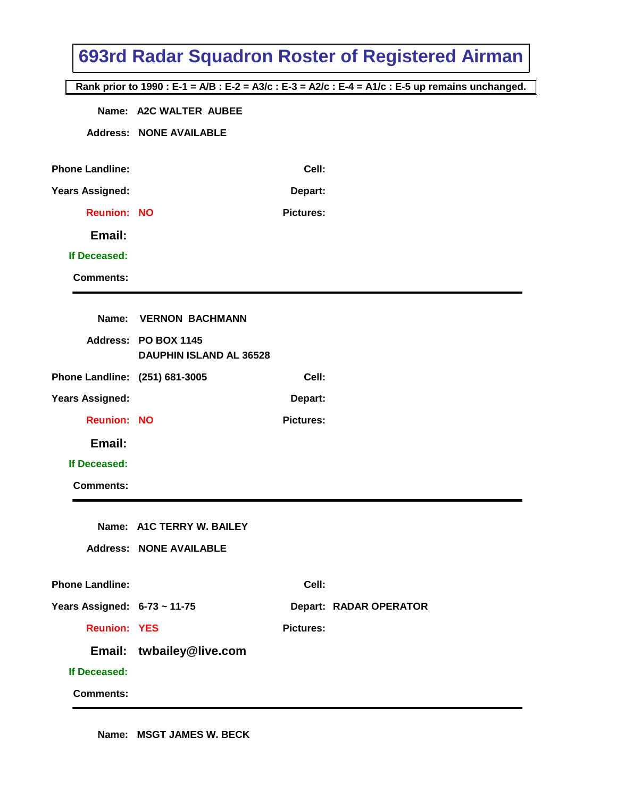|                                |                                |                  | 693rd Radar Squadron Roster of Registered Airman                                                  |
|--------------------------------|--------------------------------|------------------|---------------------------------------------------------------------------------------------------|
|                                |                                |                  | Rank prior to 1990 : E-1 = A/B : E-2 = A3/c : E-3 = A2/c : E-4 = A1/c : E-5 up remains unchanged. |
|                                | Name: A2C WALTER AUBEE         |                  |                                                                                                   |
|                                | <b>Address: NONE AVAILABLE</b> |                  |                                                                                                   |
|                                |                                |                  |                                                                                                   |
| <b>Phone Landline:</b>         |                                | Cell:            |                                                                                                   |
| <b>Years Assigned:</b>         |                                | Depart:          |                                                                                                   |
| <b>Reunion: NO</b>             |                                | <b>Pictures:</b> |                                                                                                   |
| Email:                         |                                |                  |                                                                                                   |
| If Deceased:                   |                                |                  |                                                                                                   |
| <b>Comments:</b>               |                                |                  |                                                                                                   |
| Name:                          | <b>VERNON BACHMANN</b>         |                  |                                                                                                   |
|                                | Address: PO BOX 1145           |                  |                                                                                                   |
|                                | <b>DAUPHIN ISLAND AL 36528</b> |                  |                                                                                                   |
| Phone Landline: (251) 681-3005 |                                | Cell:            |                                                                                                   |
| <b>Years Assigned:</b>         |                                | Depart:          |                                                                                                   |
| <b>Reunion: NO</b>             |                                | <b>Pictures:</b> |                                                                                                   |
| Email:                         |                                |                  |                                                                                                   |
| If Deceased:                   |                                |                  |                                                                                                   |
| <b>Comments:</b>               |                                |                  |                                                                                                   |
|                                |                                |                  |                                                                                                   |
|                                | Name: A1C TERRY W. BAILEY      |                  |                                                                                                   |
|                                | <b>Address: NONE AVAILABLE</b> |                  |                                                                                                   |
| <b>Phone Landline:</b>         |                                | Cell:            |                                                                                                   |
| Years Assigned: 6-73 ~ 11-75   |                                |                  | <b>Depart: RADAR OPERATOR</b>                                                                     |
| <b>Reunion: YES</b>            |                                | <b>Pictures:</b> |                                                                                                   |
|                                | Email: twbailey@live.com       |                  |                                                                                                   |
| If Deceased:                   |                                |                  |                                                                                                   |
| <b>Comments:</b>               |                                |                  |                                                                                                   |

**Name: MSGT JAMES W. BECK**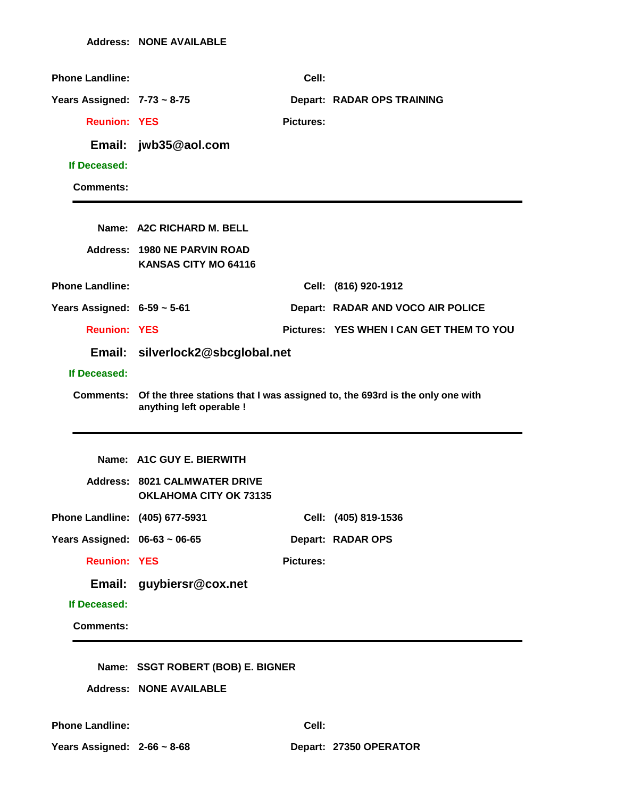| <b>Phone Landline:</b>           |                                                                       | Cell:            |                                                                                        |
|----------------------------------|-----------------------------------------------------------------------|------------------|----------------------------------------------------------------------------------------|
| Years Assigned: $7-73 \sim 8-75$ |                                                                       |                  | <b>Depart: RADAR OPS TRAINING</b>                                                      |
| <b>Reunion: YES</b>              |                                                                       | <b>Pictures:</b> |                                                                                        |
|                                  | Email: jwb35@aol.com                                                  |                  |                                                                                        |
| If Deceased:                     |                                                                       |                  |                                                                                        |
| <b>Comments:</b>                 |                                                                       |                  |                                                                                        |
|                                  |                                                                       |                  |                                                                                        |
|                                  | Name: A2C RICHARD M. BELL                                             |                  |                                                                                        |
|                                  | Address: 1980 NE PARVIN ROAD<br><b>KANSAS CITY MO 64116</b>           |                  |                                                                                        |
| <b>Phone Landline:</b>           |                                                                       |                  | Cell: (816) 920-1912                                                                   |
| Years Assigned: $6-59 \sim 5-61$ |                                                                       |                  | Depart: RADAR AND VOCO AIR POLICE                                                      |
| <b>Reunion: YES</b>              |                                                                       |                  | Pictures: YES WHEN I CAN GET THEM TO YOU                                               |
|                                  | Email: silverlock2@sbcglobal.net                                      |                  |                                                                                        |
| If Deceased:                     |                                                                       |                  |                                                                                        |
|                                  | anything left operable !                                              |                  | Comments: Of the three stations that I was assigned to, the 693rd is the only one with |
|                                  |                                                                       |                  |                                                                                        |
|                                  | Name: A1C GUY E. BIERWITH                                             |                  |                                                                                        |
|                                  | <b>Address: 8021 CALMWATER DRIVE</b><br><b>OKLAHOMA CITY OK 73135</b> |                  |                                                                                        |
| Phone Landline: (405) 677-5931   |                                                                       |                  | Cell: (405) 819-1536                                                                   |
| Years Assigned: 06-63 ~ 06-65    |                                                                       |                  | Depart: RADAR OPS                                                                      |
| <b>Reunion: YES</b>              |                                                                       | <b>Pictures:</b> |                                                                                        |
|                                  | Email: guybiersr@cox.net                                              |                  |                                                                                        |
| If Deceased:                     |                                                                       |                  |                                                                                        |
| <b>Comments:</b>                 |                                                                       |                  |                                                                                        |
|                                  |                                                                       |                  |                                                                                        |
|                                  | Name: SSGT ROBERT (BOB) E. BIGNER                                     |                  |                                                                                        |
|                                  | <b>Address: NONE AVAILABLE</b>                                        |                  |                                                                                        |

**Phone Landline: Cell:**

**Years Assigned: 2-66 ~ 8-68 Depart: 27350 OPERATOR**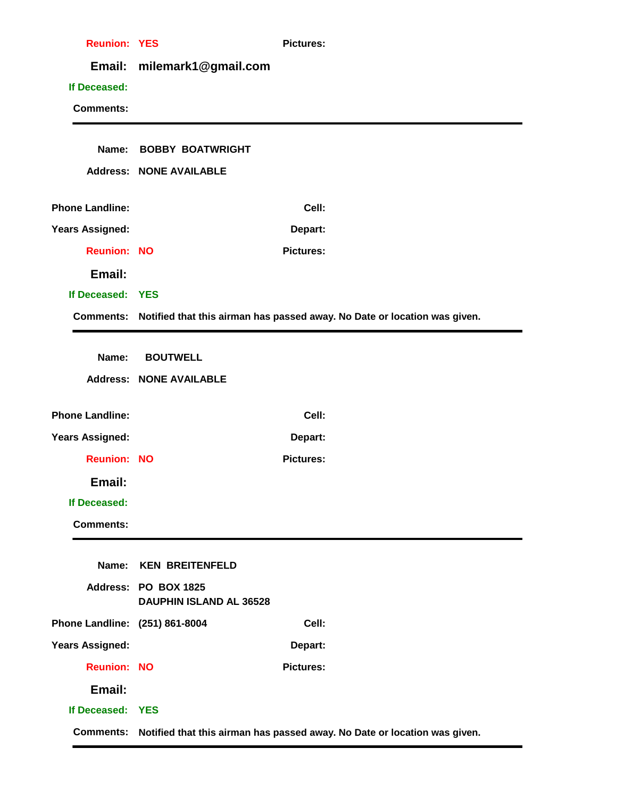| <b>Reunion: YES</b>            |                                                        | <b>Pictures:</b>                                                                    |
|--------------------------------|--------------------------------------------------------|-------------------------------------------------------------------------------------|
| Email:                         | milemark1@gmail.com                                    |                                                                                     |
| If Deceased:                   |                                                        |                                                                                     |
| <b>Comments:</b>               |                                                        |                                                                                     |
|                                |                                                        |                                                                                     |
|                                | Name: BOBBY BOATWRIGHT                                 |                                                                                     |
|                                | <b>Address: NONE AVAILABLE</b>                         |                                                                                     |
| <b>Phone Landline:</b>         |                                                        | Cell:                                                                               |
| <b>Years Assigned:</b>         |                                                        | Depart:                                                                             |
| <b>Reunion: NO</b>             |                                                        | <b>Pictures:</b>                                                                    |
| Email:                         |                                                        |                                                                                     |
| If Deceased: YES               |                                                        |                                                                                     |
|                                |                                                        | Comments: Notified that this airman has passed away. No Date or location was given. |
|                                |                                                        |                                                                                     |
| Name:                          | <b>BOUTWELL</b>                                        |                                                                                     |
|                                | <b>Address: NONE AVAILABLE</b>                         |                                                                                     |
| <b>Phone Landline:</b>         |                                                        | Cell:                                                                               |
| <b>Years Assigned:</b>         |                                                        | Depart:                                                                             |
| <b>Reunion: NO</b>             |                                                        | <b>Pictures:</b>                                                                    |
| Email:                         |                                                        |                                                                                     |
| If Deceased:                   |                                                        |                                                                                     |
| <b>Comments:</b>               |                                                        |                                                                                     |
|                                |                                                        |                                                                                     |
| Name:                          | <b>KEN BREITENFELD</b>                                 |                                                                                     |
|                                | Address: PO BOX 1825<br><b>DAUPHIN ISLAND AL 36528</b> |                                                                                     |
| Phone Landline: (251) 861-8004 |                                                        | Cell:                                                                               |
| <b>Years Assigned:</b>         |                                                        | Depart:                                                                             |
| <b>Reunion: NO</b>             |                                                        | <b>Pictures:</b>                                                                    |
| Email:                         |                                                        |                                                                                     |
| If Deceased: YES               |                                                        |                                                                                     |
|                                |                                                        | Comments: Notified that this airman has passed away. No Date or location was given. |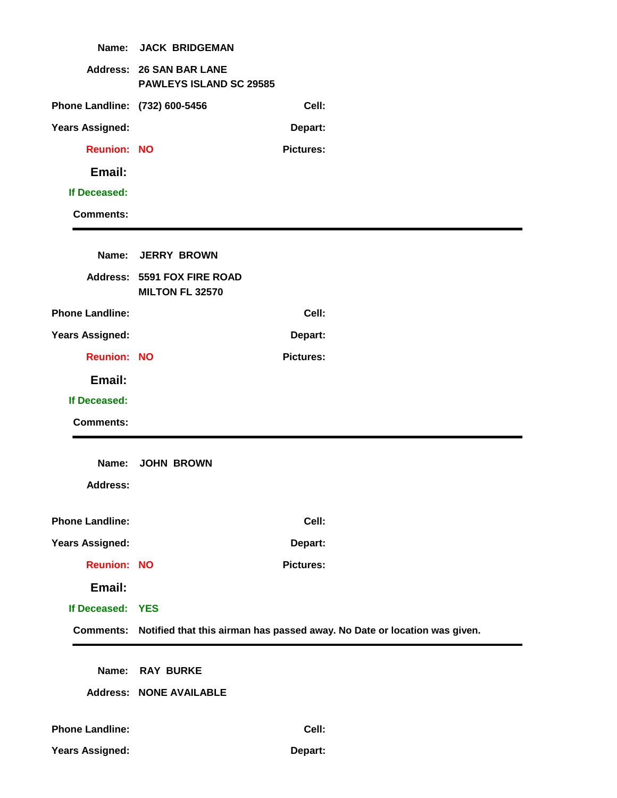| Name:                          | <b>JACK BRIDGEMAN</b>                                      |                  |                                                                                     |
|--------------------------------|------------------------------------------------------------|------------------|-------------------------------------------------------------------------------------|
|                                | <b>Address: 26 SAN BAR LANE</b><br>PAWLEYS ISLAND SC 29585 |                  |                                                                                     |
| Phone Landline: (732) 600-5456 |                                                            | Cell:            |                                                                                     |
| <b>Years Assigned:</b>         |                                                            | Depart:          |                                                                                     |
| <b>Reunion: NO</b>             |                                                            | <b>Pictures:</b> |                                                                                     |
| Email:                         |                                                            |                  |                                                                                     |
| If Deceased:                   |                                                            |                  |                                                                                     |
| <b>Comments:</b>               |                                                            |                  |                                                                                     |
|                                |                                                            |                  |                                                                                     |
| Name:                          | <b>JERRY BROWN</b>                                         |                  |                                                                                     |
|                                | Address: 5591 FOX FIRE ROAD<br>MILTON FL 32570             |                  |                                                                                     |
| <b>Phone Landline:</b>         |                                                            | Cell:            |                                                                                     |
| <b>Years Assigned:</b>         |                                                            | Depart:          |                                                                                     |
| <b>Reunion: NO</b>             |                                                            | <b>Pictures:</b> |                                                                                     |
| Email:                         |                                                            |                  |                                                                                     |
| If Deceased:                   |                                                            |                  |                                                                                     |
| <b>Comments:</b>               |                                                            |                  |                                                                                     |
|                                |                                                            |                  |                                                                                     |
| Name:                          | <b>JOHN BROWN</b>                                          |                  |                                                                                     |
| <b>Address:</b>                |                                                            |                  |                                                                                     |
| <b>Phone Landline:</b>         |                                                            | Cell:            |                                                                                     |
| <b>Years Assigned:</b>         |                                                            | Depart:          |                                                                                     |
| <b>Reunion: NO</b>             |                                                            | <b>Pictures:</b> |                                                                                     |
| Email:                         |                                                            |                  |                                                                                     |
| If Deceased: YES               |                                                            |                  |                                                                                     |
|                                |                                                            |                  | Comments: Notified that this airman has passed away. No Date or location was given. |
|                                |                                                            |                  |                                                                                     |
|                                | Name: RAY BURKE                                            |                  |                                                                                     |
|                                | <b>Address: NONE AVAILABLE</b>                             |                  |                                                                                     |
| <b>Phone Landline:</b>         |                                                            | Cell:            |                                                                                     |
| <b>Years Assigned:</b>         |                                                            | Depart:          |                                                                                     |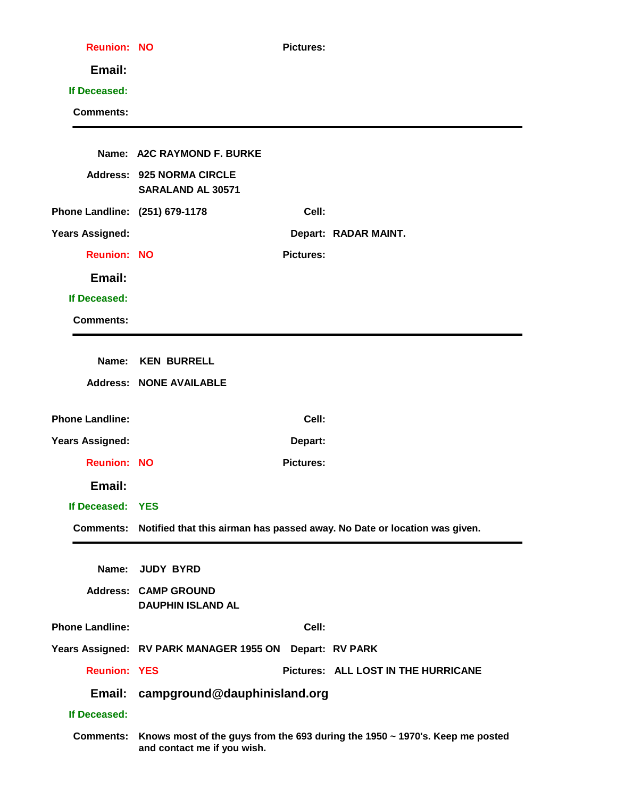| <b>Reunion: NO</b>             | <b>Pictures:</b>                                                                       |
|--------------------------------|----------------------------------------------------------------------------------------|
| Email:                         |                                                                                        |
| If Deceased:                   |                                                                                        |
| <b>Comments:</b>               |                                                                                        |
|                                |                                                                                        |
|                                | Name: A2C RAYMOND F. BURKE                                                             |
|                                | <b>Address: 925 NORMA CIRCLE</b><br>SARALAND AL 30571                                  |
| Phone Landline: (251) 679-1178 | Cell:                                                                                  |
| <b>Years Assigned:</b>         | Depart: RADAR MAINT.                                                                   |
| <b>Reunion: NO</b>             | <b>Pictures:</b>                                                                       |
| Email:                         |                                                                                        |
| If Deceased:                   |                                                                                        |
| <b>Comments:</b>               |                                                                                        |
|                                |                                                                                        |
|                                | Name: KEN BURRELL                                                                      |
|                                | <b>Address: NONE AVAILABLE</b>                                                         |
| <b>Phone Landline:</b>         | Cell:                                                                                  |
| <b>Years Assigned:</b>         | Depart:                                                                                |
| <b>Reunion: NO</b>             | <b>Pictures:</b>                                                                       |
| Email:                         |                                                                                        |
| If Deceased: YES               |                                                                                        |
|                                | Comments: Notified that this airman has passed away. No Date or location was given.    |
|                                | Name: JUDY BYRD                                                                        |
|                                | <b>Address: CAMP GROUND</b><br><b>DAUPHIN ISLAND AL</b>                                |
| <b>Phone Landline:</b>         | Cell:                                                                                  |
|                                | Years Assigned: RV PARK MANAGER 1955 ON Depart: RV PARK                                |
| <b>Reunion: YES</b>            | Pictures: ALL LOST IN THE HURRICANE                                                    |
| Email:                         | campground@dauphinisland.org                                                           |
| If Deceased:                   |                                                                                        |
|                                | Comments: Knows most of the guys from the 693 during the 1950 ~ 1970's. Keep me posted |
|                                |                                                                                        |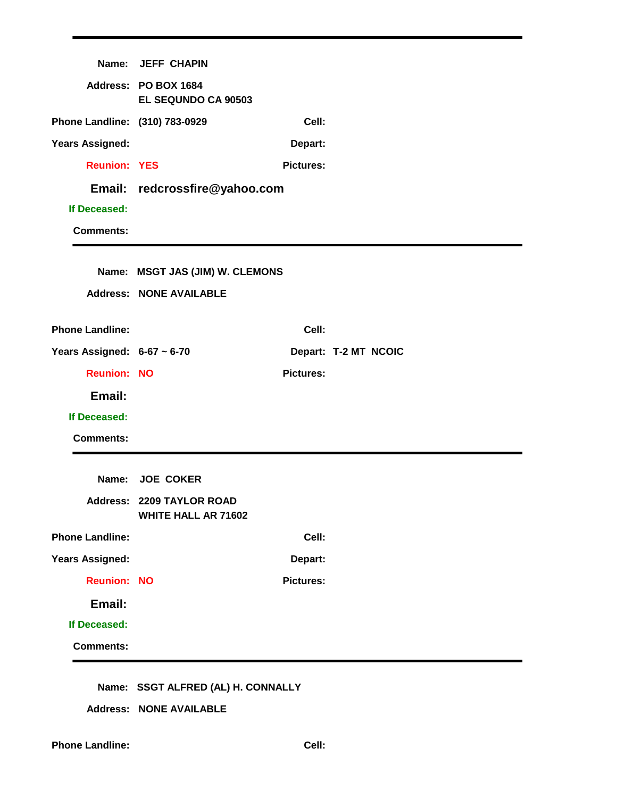|                                  | Name: JEFF CHAPIN                                       |                  |                      |
|----------------------------------|---------------------------------------------------------|------------------|----------------------|
|                                  | Address: PO BOX 1684<br>EL SEQUNDO CA 90503             |                  |                      |
| Phone Landline: (310) 783-0929   |                                                         | Cell:            |                      |
| <b>Years Assigned:</b>           |                                                         | Depart:          |                      |
| <b>Reunion: YES</b>              |                                                         | <b>Pictures:</b> |                      |
|                                  | Email: redcrossfire@yahoo.com                           |                  |                      |
| If Deceased:                     |                                                         |                  |                      |
| <b>Comments:</b>                 |                                                         |                  |                      |
|                                  |                                                         |                  |                      |
|                                  | Name: MSGT JAS (JIM) W. CLEMONS                         |                  |                      |
|                                  | <b>Address: NONE AVAILABLE</b>                          |                  |                      |
| <b>Phone Landline:</b>           |                                                         | Cell:            |                      |
| Years Assigned: $6-67 \sim 6-70$ |                                                         |                  | Depart: T-2 MT NCOIC |
| <b>Reunion: NO</b>               |                                                         | <b>Pictures:</b> |                      |
| Email:                           |                                                         |                  |                      |
| If Deceased:                     |                                                         |                  |                      |
| <b>Comments:</b>                 |                                                         |                  |                      |
|                                  |                                                         |                  |                      |
|                                  | Name: JOE COKER                                         |                  |                      |
|                                  | Address: 2209 TAYLOR ROAD<br><b>WHITE HALL AR 71602</b> |                  |                      |
| <b>Phone Landline:</b>           |                                                         | Cell:            |                      |
| <b>Years Assigned:</b>           |                                                         | Depart:          |                      |
| <b>Reunion: NO</b>               |                                                         | <b>Pictures:</b> |                      |
| Email:                           |                                                         |                  |                      |
| If Deceased:                     |                                                         |                  |                      |
| <b>Comments:</b>                 |                                                         |                  |                      |

#### **Name: SSGT ALFRED (AL) H. CONNALLY**

**Address: NONE AVAILABLE**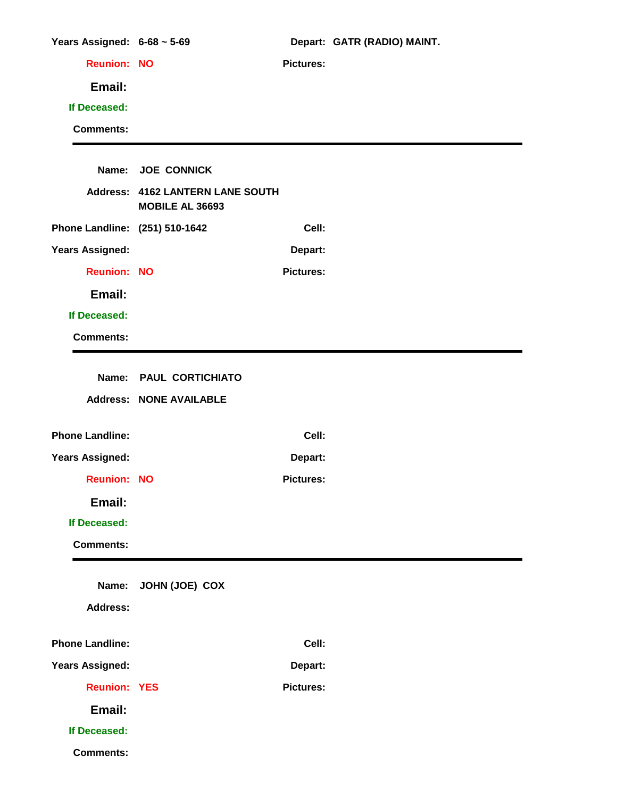| Years Assigned: $6-68 \sim 5-69$ |                                                     |                  | Depart: GATR (RADIO) MAINT. |
|----------------------------------|-----------------------------------------------------|------------------|-----------------------------|
| <b>Reunion: NO</b>               |                                                     | <b>Pictures:</b> |                             |
| Email:                           |                                                     |                  |                             |
| If Deceased:                     |                                                     |                  |                             |
| <b>Comments:</b>                 |                                                     |                  |                             |
|                                  |                                                     |                  |                             |
|                                  | Name: JOE CONNICK                                   |                  |                             |
|                                  | Address: 4162 LANTERN LANE SOUTH<br>MOBILE AL 36693 |                  |                             |
| Phone Landline: (251) 510-1642   |                                                     | Cell:            |                             |
| <b>Years Assigned:</b>           |                                                     | Depart:          |                             |
| <b>Reunion: NO</b>               |                                                     | <b>Pictures:</b> |                             |
| Email:                           |                                                     |                  |                             |
| If Deceased:                     |                                                     |                  |                             |
| <b>Comments:</b>                 |                                                     |                  |                             |
|                                  |                                                     |                  |                             |
|                                  | Name: PAUL CORTICHIATO                              |                  |                             |
|                                  | <b>Address: NONE AVAILABLE</b>                      |                  |                             |
| <b>Phone Landline:</b>           |                                                     | Cell:            |                             |
| <b>Years Assigned:</b>           |                                                     | Depart:          |                             |
| <b>Reunion: NO</b>               |                                                     | <b>Pictures:</b> |                             |
| Email:                           |                                                     |                  |                             |
| If Deceased:                     |                                                     |                  |                             |
| <b>Comments:</b>                 |                                                     |                  |                             |
|                                  |                                                     |                  |                             |
| Name:                            | JOHN (JOE) COX                                      |                  |                             |
| <b>Address:</b>                  |                                                     |                  |                             |
| <b>Phone Landline:</b>           |                                                     | Cell:            |                             |
| <b>Years Assigned:</b>           |                                                     | Depart:          |                             |
| <b>Reunion: YES</b>              |                                                     | <b>Pictures:</b> |                             |
| Email:                           |                                                     |                  |                             |
| If Deceased:                     |                                                     |                  |                             |
| <b>Comments:</b>                 |                                                     |                  |                             |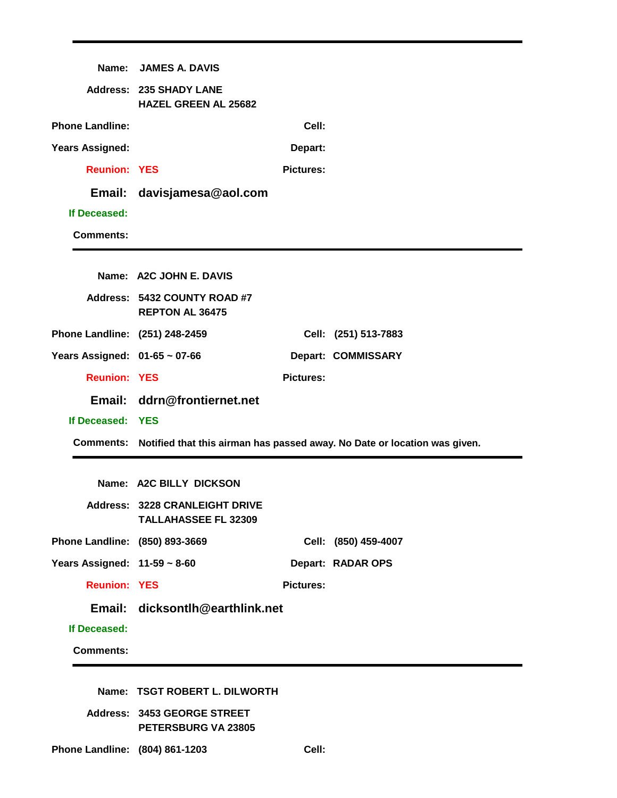|                                   | Name: JAMES A. DAVIS                                                 |                  |                                                                                     |
|-----------------------------------|----------------------------------------------------------------------|------------------|-------------------------------------------------------------------------------------|
|                                   | <b>Address: 235 SHADY LANE</b><br><b>HAZEL GREEN AL 25682</b>        |                  |                                                                                     |
| <b>Phone Landline:</b>            |                                                                      | Cell:            |                                                                                     |
| <b>Years Assigned:</b>            |                                                                      | Depart:          |                                                                                     |
| <b>Reunion: YES</b>               |                                                                      | <b>Pictures:</b> |                                                                                     |
|                                   | Email: davisjamesa@aol.com                                           |                  |                                                                                     |
| If Deceased:                      |                                                                      |                  |                                                                                     |
| <b>Comments:</b>                  |                                                                      |                  |                                                                                     |
|                                   |                                                                      |                  |                                                                                     |
|                                   | Name: A2C JOHN E. DAVIS                                              |                  |                                                                                     |
|                                   | Address: 5432 COUNTY ROAD #7<br><b>REPTON AL 36475</b>               |                  |                                                                                     |
| Phone Landline: (251) 248-2459    |                                                                      |                  | Cell: (251) 513-7883                                                                |
| Years Assigned: 01-65 ~ 07-66     |                                                                      |                  | Depart: COMMISSARY                                                                  |
| <b>Reunion: YES</b>               |                                                                      | <b>Pictures:</b> |                                                                                     |
|                                   | Email: ddrn@frontiernet.net                                          |                  |                                                                                     |
| If Deceased: YES                  |                                                                      |                  |                                                                                     |
|                                   |                                                                      |                  | Comments: Notified that this airman has passed away. No Date or location was given. |
|                                   |                                                                      |                  |                                                                                     |
|                                   | Name: A2C BILLY DICKSON                                              |                  |                                                                                     |
|                                   | <b>Address: 3228 CRANLEIGHT DRIVE</b><br><b>TALLAHASSEE FL 32309</b> |                  |                                                                                     |
| Phone Landline: (850) 893-3669    |                                                                      |                  | Cell: (850) 459-4007                                                                |
| Years Assigned: $11-59 \sim 8-60$ |                                                                      |                  | Depart: RADAR OPS                                                                   |
| <b>Reunion: YES</b>               |                                                                      | <b>Pictures:</b> |                                                                                     |
|                                   | Email: dicksontlh@earthlink.net                                      |                  |                                                                                     |
| If Deceased:                      |                                                                      |                  |                                                                                     |
| <b>Comments:</b>                  |                                                                      |                  |                                                                                     |
|                                   |                                                                      |                  |                                                                                     |
|                                   | Name: TSGT ROBERT L. DILWORTH                                        |                  |                                                                                     |
|                                   | Address: 3453 GEORGE STREET                                          |                  |                                                                                     |

**Phone Landline: (804) 861-1203 Cell:**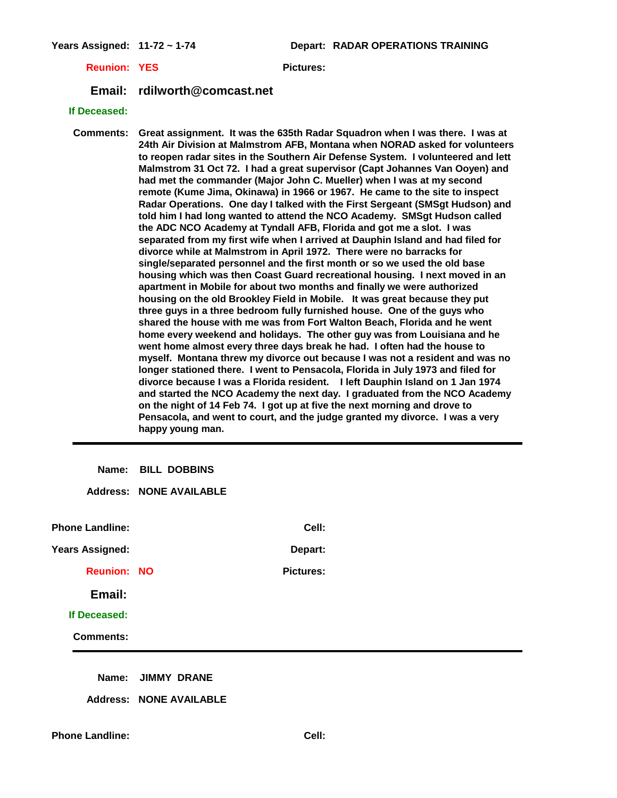**Years Assigned: 11-72 ~ 1-74 Depart: RADAR OPERATIONS TRAINING**

**Reunion: YES Pictures:** 

**Email: rdilworth@comcast.net**

#### **If Deceased:**

**Comments: Great assignment. It was the 635th Radar Squadron when I was there. I was at 24th Air Division at Malmstrom AFB, Montana when NORAD asked for volunteers to reopen radar sites in the Southern Air Defense System. I volunteered and lett Malmstrom 31 Oct 72. I had a great supervisor (Capt Johannes Van Ooyen) and had met the commander (Major John C. Mueller) when I was at my second remote (Kume Jima, Okinawa) in 1966 or 1967. He came to the site to inspect Radar Operations. One day I talked with the First Sergeant (SMSgt Hudson) and told him I had long wanted to attend the NCO Academy. SMSgt Hudson called the ADC NCO Academy at Tyndall AFB, Florida and got me a slot. I was separated from my first wife when I arrived at Dauphin Island and had filed for divorce while at Malmstrom in April 1972. There were no barracks for single/separated personnel and the first month or so we used the old base housing which was then Coast Guard recreational housing. I next moved in an apartment in Mobile for about two months and finally we were authorized housing on the old Brookley Field in Mobile. It was great because they put three guys in a three bedroom fully furnished house. One of the guys who shared the house with me was from Fort Walton Beach, Florida and he went home every weekend and holidays. The other guy was from Louisiana and he went home almost every three days break he had. I often had the house to myself. Montana threw my divorce out because I was not a resident and was no longer stationed there. I went to Pensacola, Florida in July 1973 and filed for divorce because I was a Florida resident. I left Dauphin Island on 1 Jan 1974 and started the NCO Academy the next day. I graduated from the NCO Academy on the night of 14 Feb 74. I got up at five the next morning and drove to Pensacola, and went to court, and the judge granted my divorce. I was a very happy young man.** 

**Name: BILL DOBBINS**

**Address: NONE AVAILABLE**

**Phone Landline: Cell: Years Assigned: Depart: Reunion: NO Pictures: Email: If Deceased: Comments:**

**Name: JIMMY DRANE**

**Address: NONE AVAILABLE**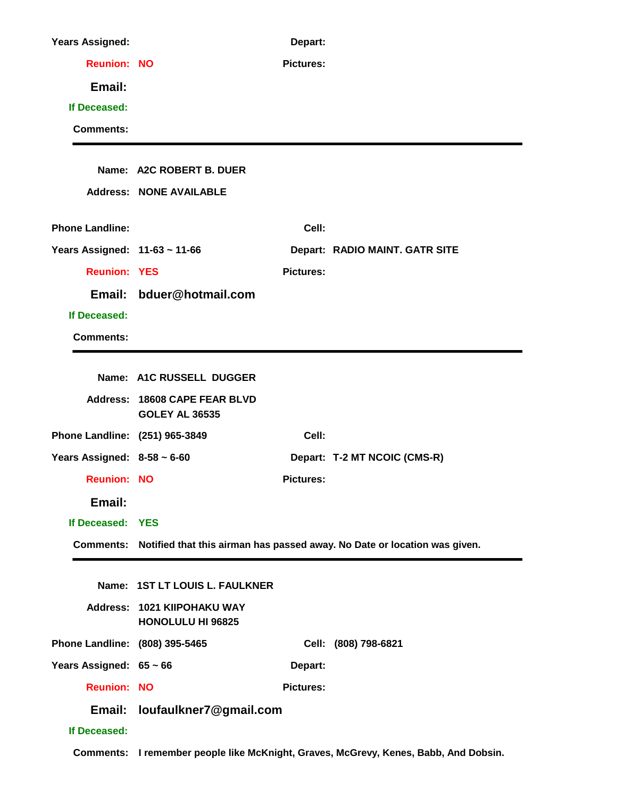| <b>Years Assigned:</b>           |                                                         | Depart:          |                                                                                      |
|----------------------------------|---------------------------------------------------------|------------------|--------------------------------------------------------------------------------------|
| <b>Reunion: NO</b>               |                                                         | <b>Pictures:</b> |                                                                                      |
| Email:                           |                                                         |                  |                                                                                      |
| If Deceased:                     |                                                         |                  |                                                                                      |
| <b>Comments:</b>                 |                                                         |                  |                                                                                      |
|                                  |                                                         |                  |                                                                                      |
|                                  | Name: A2C ROBERT B. DUER                                |                  |                                                                                      |
|                                  | <b>Address: NONE AVAILABLE</b>                          |                  |                                                                                      |
| <b>Phone Landline:</b>           |                                                         | Cell:            |                                                                                      |
| Years Assigned: 11-63 ~ 11-66    |                                                         |                  | Depart: RADIO MAINT. GATR SITE                                                       |
| <b>Reunion: YES</b>              |                                                         | <b>Pictures:</b> |                                                                                      |
|                                  | Email: bduer@hotmail.com                                |                  |                                                                                      |
| If Deceased:                     |                                                         |                  |                                                                                      |
| <b>Comments:</b>                 |                                                         |                  |                                                                                      |
|                                  |                                                         |                  |                                                                                      |
|                                  | Name: A1C RUSSELL DUGGER                                |                  |                                                                                      |
|                                  | Address: 18608 CAPE FEAR BLVD<br><b>GOLEY AL 36535</b>  |                  |                                                                                      |
| Phone Landline: (251) 965-3849   |                                                         | Cell:            |                                                                                      |
| Years Assigned: $8-58 \sim 6-60$ |                                                         |                  | Depart: T-2 MT NCOIC (CMS-R)                                                         |
| <b>Reunion: NO</b>               |                                                         | <b>Pictures:</b> |                                                                                      |
| Email:                           |                                                         |                  |                                                                                      |
| If Deceased: YES                 |                                                         |                  |                                                                                      |
|                                  |                                                         |                  | Comments: Notified that this airman has passed away. No Date or location was given.  |
|                                  |                                                         |                  |                                                                                      |
|                                  | Name: 1ST LT LOUIS L. FAULKNER                          |                  |                                                                                      |
|                                  | Address: 1021 KIIPOHAKU WAY<br><b>HONOLULU HI 96825</b> |                  |                                                                                      |
| Phone Landline: (808) 395-5465   |                                                         |                  | Cell: (808) 798-6821                                                                 |
| Years Assigned: $65 \sim 66$     |                                                         | Depart:          |                                                                                      |
| <b>Reunion: NO</b>               |                                                         | <b>Pictures:</b> |                                                                                      |
| Email:                           | loufaulkner7@gmail.com                                  |                  |                                                                                      |
| If Deceased:                     |                                                         |                  |                                                                                      |
|                                  |                                                         |                  | Comments: I remember people like McKnight, Graves, McGrevy, Kenes, Babb, And Dobsin. |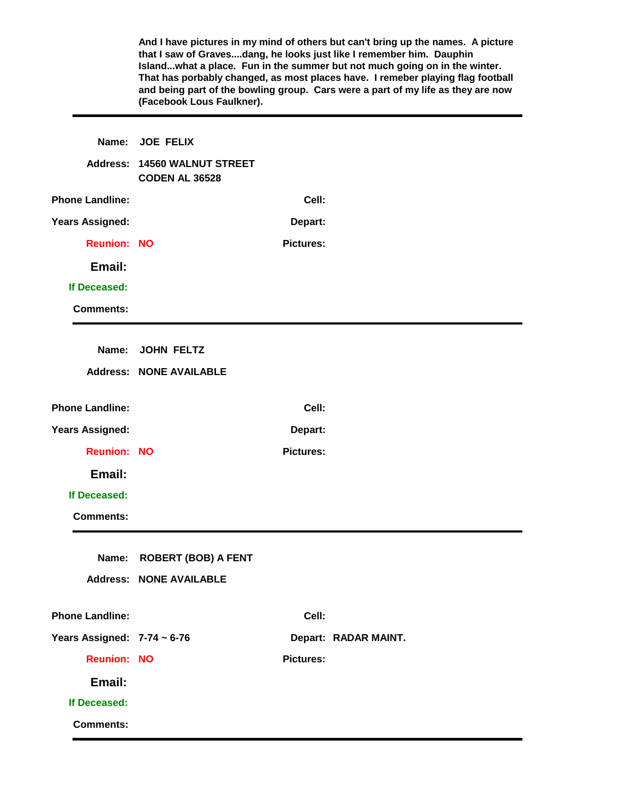|                                  | (Facebook Lous Faulkner).                           |                  | And I have pictures in my mind of others but can't bring up the names. A picture<br>that I saw of Gravesdang, he looks just like I remember him. Dauphin<br>Islandwhat a place. Fun in the summer but not much going on in the winter.<br>That has porbably changed, as most places have. I remeber playing flag football<br>and being part of the bowling group. Cars were a part of my life as they are now |
|----------------------------------|-----------------------------------------------------|------------------|---------------------------------------------------------------------------------------------------------------------------------------------------------------------------------------------------------------------------------------------------------------------------------------------------------------------------------------------------------------------------------------------------------------|
| Name:                            | <b>JOE FELIX</b>                                    |                  |                                                                                                                                                                                                                                                                                                                                                                                                               |
| <b>Address:</b>                  | <b>14560 WALNUT STREET</b><br><b>CODEN AL 36528</b> |                  |                                                                                                                                                                                                                                                                                                                                                                                                               |
| <b>Phone Landline:</b>           |                                                     | Cell:            |                                                                                                                                                                                                                                                                                                                                                                                                               |
| <b>Years Assigned:</b>           |                                                     | Depart:          |                                                                                                                                                                                                                                                                                                                                                                                                               |
| <b>Reunion: NO</b>               |                                                     | <b>Pictures:</b> |                                                                                                                                                                                                                                                                                                                                                                                                               |
| Email:                           |                                                     |                  |                                                                                                                                                                                                                                                                                                                                                                                                               |
| If Deceased:                     |                                                     |                  |                                                                                                                                                                                                                                                                                                                                                                                                               |
| <b>Comments:</b>                 |                                                     |                  |                                                                                                                                                                                                                                                                                                                                                                                                               |
| Name:                            | <b>JOHN FELTZ</b>                                   |                  |                                                                                                                                                                                                                                                                                                                                                                                                               |
|                                  | <b>Address: NONE AVAILABLE</b>                      |                  |                                                                                                                                                                                                                                                                                                                                                                                                               |
|                                  |                                                     |                  |                                                                                                                                                                                                                                                                                                                                                                                                               |
| <b>Phone Landline:</b>           |                                                     | Cell:            |                                                                                                                                                                                                                                                                                                                                                                                                               |
| <b>Years Assigned:</b>           |                                                     | Depart:          |                                                                                                                                                                                                                                                                                                                                                                                                               |
| <b>Reunion: NO</b>               |                                                     | <b>Pictures:</b> |                                                                                                                                                                                                                                                                                                                                                                                                               |
| Email:                           |                                                     |                  |                                                                                                                                                                                                                                                                                                                                                                                                               |
| If Deceased:                     |                                                     |                  |                                                                                                                                                                                                                                                                                                                                                                                                               |
| <b>Comments:</b>                 |                                                     |                  |                                                                                                                                                                                                                                                                                                                                                                                                               |
| Name:                            | <b>ROBERT (BOB) A FENT</b>                          |                  |                                                                                                                                                                                                                                                                                                                                                                                                               |
| <b>Address:</b>                  | <b>NONE AVAILABLE</b>                               |                  |                                                                                                                                                                                                                                                                                                                                                                                                               |
| <b>Phone Landline:</b>           |                                                     | Cell:            |                                                                                                                                                                                                                                                                                                                                                                                                               |
| Years Assigned: $7-74 \sim 6-76$ |                                                     |                  | Depart: RADAR MAINT.                                                                                                                                                                                                                                                                                                                                                                                          |
| <b>Reunion: NO</b>               |                                                     | <b>Pictures:</b> |                                                                                                                                                                                                                                                                                                                                                                                                               |
| Email:                           |                                                     |                  |                                                                                                                                                                                                                                                                                                                                                                                                               |
| If Deceased:                     |                                                     |                  |                                                                                                                                                                                                                                                                                                                                                                                                               |
| <b>Comments:</b>                 |                                                     |                  |                                                                                                                                                                                                                                                                                                                                                                                                               |
|                                  |                                                     |                  |                                                                                                                                                                                                                                                                                                                                                                                                               |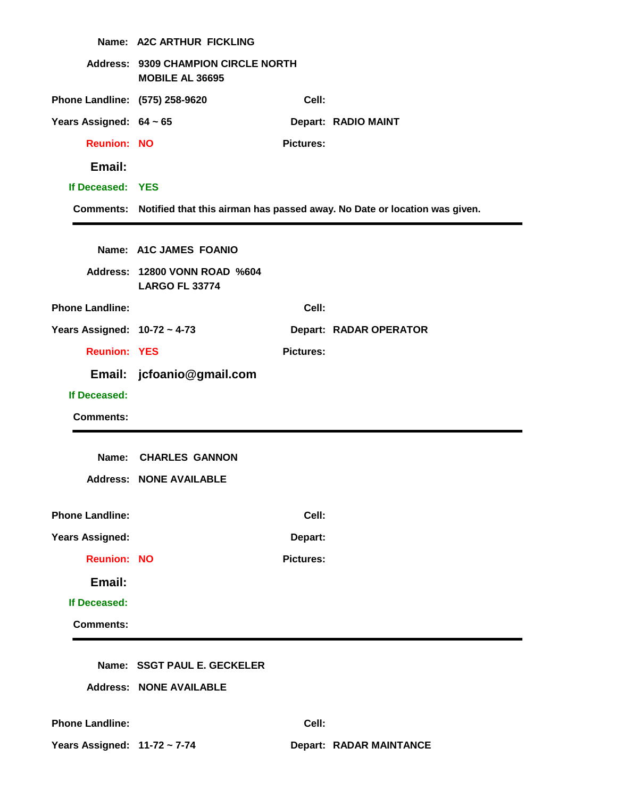|                                | Name: A2C ARTHUR FICKLING                                            |                  |                                                                                     |
|--------------------------------|----------------------------------------------------------------------|------------------|-------------------------------------------------------------------------------------|
|                                | <b>Address: 9309 CHAMPION CIRCLE NORTH</b><br><b>MOBILE AL 36695</b> |                  |                                                                                     |
| Phone Landline: (575) 258-9620 |                                                                      | Cell:            |                                                                                     |
| Years Assigned: $64 \sim 65$   |                                                                      |                  | Depart: RADIO MAINT                                                                 |
| <b>Reunion: NO</b>             |                                                                      | <b>Pictures:</b> |                                                                                     |
| Email:                         |                                                                      |                  |                                                                                     |
| If Deceased: YES               |                                                                      |                  |                                                                                     |
|                                |                                                                      |                  | Comments: Notified that this airman has passed away. No Date or location was given. |
|                                |                                                                      |                  |                                                                                     |
|                                | Name: A1C JAMES FOANIO                                               |                  |                                                                                     |
|                                | Address: 12800 VONN ROAD %604<br><b>LARGO FL 33774</b>               |                  |                                                                                     |
| <b>Phone Landline:</b>         |                                                                      | Cell:            |                                                                                     |
| Years Assigned: 10-72 ~ 4-73   |                                                                      |                  | Depart: RADAR OPERATOR                                                              |
| <b>Reunion: YES</b>            |                                                                      | <b>Pictures:</b> |                                                                                     |
|                                | Email: jcfoanio@gmail.com                                            |                  |                                                                                     |
| If Deceased:                   |                                                                      |                  |                                                                                     |
| <b>Comments:</b>               |                                                                      |                  |                                                                                     |
|                                |                                                                      |                  |                                                                                     |
| Name:                          | <b>CHARLES GANNON</b>                                                |                  |                                                                                     |
|                                | <b>Address: NONE AVAILABLE</b>                                       |                  |                                                                                     |
| <b>Phone Landline:</b>         |                                                                      | Cell:            |                                                                                     |
| <b>Years Assigned:</b>         |                                                                      | Depart:          |                                                                                     |
| <b>Reunion: NO</b>             |                                                                      | <b>Pictures:</b> |                                                                                     |
| Email:                         |                                                                      |                  |                                                                                     |
| If Deceased:                   |                                                                      |                  |                                                                                     |
| <b>Comments:</b>               |                                                                      |                  |                                                                                     |
|                                |                                                                      |                  |                                                                                     |
|                                | Name: SSGT PAUL E. GECKELER                                          |                  |                                                                                     |
|                                | <b>Address: NONE AVAILABLE</b>                                       |                  |                                                                                     |
|                                |                                                                      |                  |                                                                                     |
| <b>Phone Landline:</b>         |                                                                      | Cell:            |                                                                                     |
| Years Assigned: 11-72 ~ 7-74   |                                                                      |                  | <b>Depart: RADAR MAINTANCE</b>                                                      |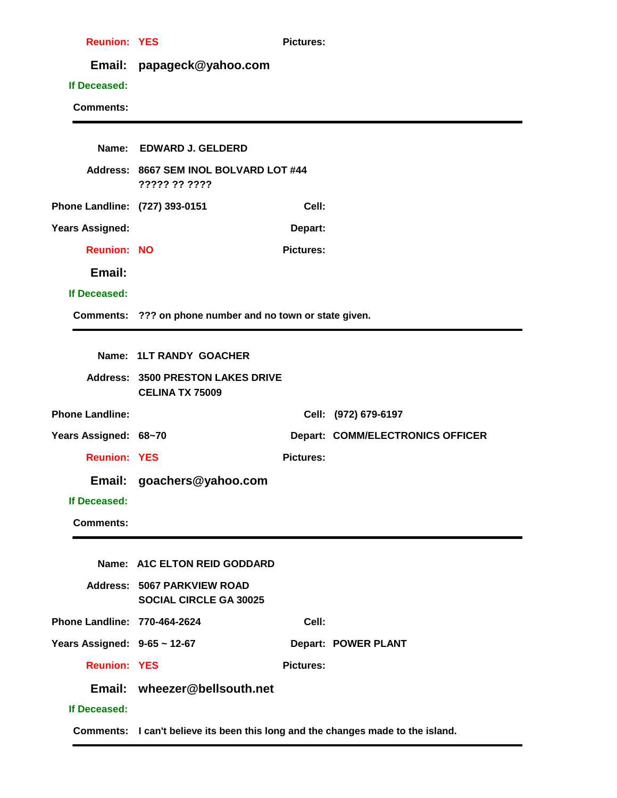| <b>Reunion: YES</b>            |                                                                     | <b>Pictures:</b> |                                         |
|--------------------------------|---------------------------------------------------------------------|------------------|-----------------------------------------|
|                                | Email: papageck@yahoo.com                                           |                  |                                         |
| If Deceased:                   |                                                                     |                  |                                         |
| <b>Comments:</b>               |                                                                     |                  |                                         |
|                                |                                                                     |                  |                                         |
|                                | Name: EDWARD J. GELDERD                                             |                  |                                         |
|                                | Address: 8667 SEM INOL BOLVARD LOT #44<br>????? ?? ????             |                  |                                         |
| Phone Landline: (727) 393-0151 |                                                                     | Cell:            |                                         |
| Years Assigned:                |                                                                     | Depart:          |                                         |
| <b>Reunion: NO</b>             |                                                                     | <b>Pictures:</b> |                                         |
| Email:                         |                                                                     |                  |                                         |
| If Deceased:                   |                                                                     |                  |                                         |
|                                | Comments: ??? on phone number and no town or state given.           |                  |                                         |
|                                |                                                                     |                  |                                         |
|                                | Name: 1LT RANDY GOACHER                                             |                  |                                         |
|                                | <b>Address: 3500 PRESTON LAKES DRIVE</b><br><b>CELINA TX 75009</b>  |                  |                                         |
| <b>Phone Landline:</b>         |                                                                     |                  | Cell: (972) 679-6197                    |
| Years Assigned: 68~70          |                                                                     |                  | <b>Depart: COMM/ELECTRONICS OFFICER</b> |
| <b>Reunion: YES</b>            |                                                                     | <b>Pictures:</b> |                                         |
|                                | Email: goachers@yahoo.com                                           |                  |                                         |
| If Deceased:                   |                                                                     |                  |                                         |
| <b>Comments:</b>               |                                                                     |                  |                                         |
|                                |                                                                     |                  |                                         |
|                                | Name: A1C ELTON REID GODDARD                                        |                  |                                         |
|                                | <b>Address: 5067 PARKVIEW ROAD</b><br><b>SOCIAL CIRCLE GA 30025</b> |                  |                                         |
| Phone Landline: 770-464-2624   |                                                                     | Cell:            |                                         |
| Years Assigned: 9-65 ~ 12-67   |                                                                     |                  | <b>Depart: POWER PLANT</b>              |
| <b>Reunion: YES</b>            |                                                                     | <b>Pictures:</b> |                                         |
|                                | Email: wheezer@bellsouth.net                                        |                  |                                         |
| If Deceased:                   |                                                                     |                  |                                         |

**Comments: I can't believe its been this long and the changes made to the island.**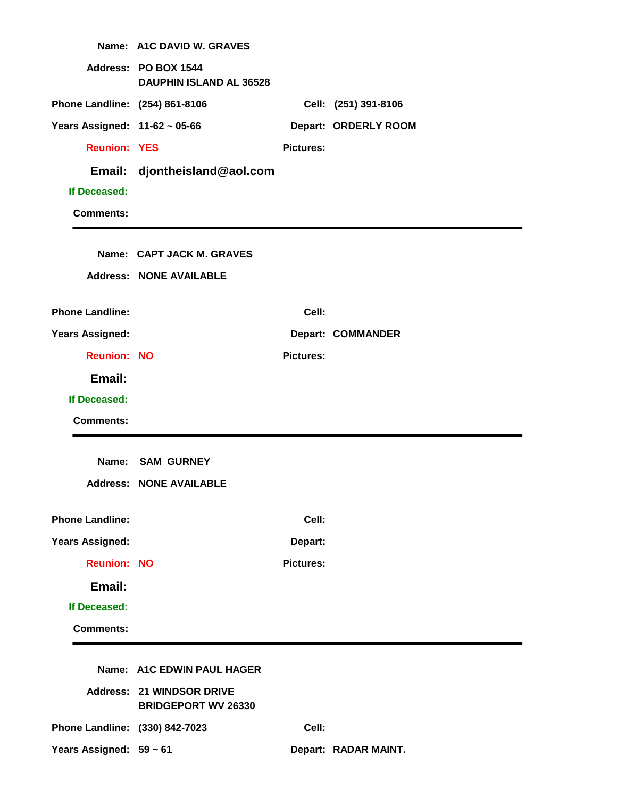|                                | Name: A1C DAVID W. GRAVES                                      |                  |                          |
|--------------------------------|----------------------------------------------------------------|------------------|--------------------------|
|                                | Address: PO BOX 1544<br><b>DAUPHIN ISLAND AL 36528</b>         |                  |                          |
| Phone Landline: (254) 861-8106 |                                                                |                  | Cell: (251) 391-8106     |
| Years Assigned: 11-62 ~ 05-66  |                                                                |                  | Depart: ORDERLY ROOM     |
| <b>Reunion: YES</b>            |                                                                | <b>Pictures:</b> |                          |
| Email:                         | djontheisland@aol.com                                          |                  |                          |
| If Deceased:                   |                                                                |                  |                          |
| <b>Comments:</b>               |                                                                |                  |                          |
|                                |                                                                |                  |                          |
|                                | Name: CAPT JACK M. GRAVES                                      |                  |                          |
|                                | <b>Address: NONE AVAILABLE</b>                                 |                  |                          |
| <b>Phone Landline:</b>         |                                                                | Cell:            |                          |
| <b>Years Assigned:</b>         |                                                                |                  | <b>Depart: COMMANDER</b> |
| <b>Reunion: NO</b>             |                                                                | <b>Pictures:</b> |                          |
| Email:                         |                                                                |                  |                          |
| If Deceased:                   |                                                                |                  |                          |
| <b>Comments:</b>               |                                                                |                  |                          |
|                                |                                                                |                  |                          |
|                                | Name: SAM GURNEY                                               |                  |                          |
|                                | <b>Address: NONE AVAILABLE</b>                                 |                  |                          |
| <b>Phone Landline:</b>         |                                                                | Cell:            |                          |
| <b>Years Assigned:</b>         |                                                                | Depart:          |                          |
| <b>Reunion: NO</b>             |                                                                | <b>Pictures:</b> |                          |
| Email:                         |                                                                |                  |                          |
| If Deceased:                   |                                                                |                  |                          |
| <b>Comments:</b>               |                                                                |                  |                          |
|                                |                                                                |                  |                          |
|                                | Name: A1C EDWIN PAUL HAGER                                     |                  |                          |
|                                | <b>Address: 21 WINDSOR DRIVE</b><br><b>BRIDGEPORT WV 26330</b> |                  |                          |
| Phone Landline: (330) 842-7023 |                                                                | Cell:            |                          |
| Years Assigned: 59 ~ 61        |                                                                |                  | Depart: RADAR MAINT.     |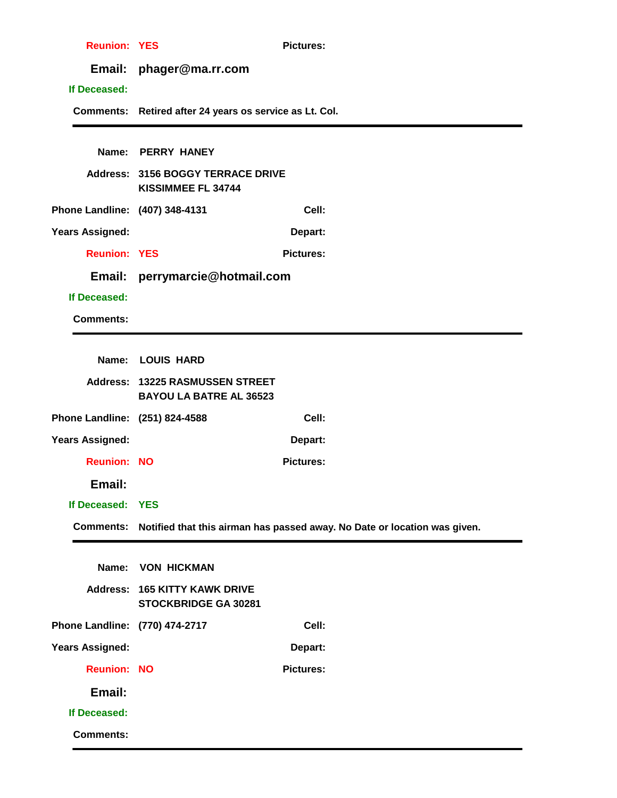| <b>Reunion: YES</b>            |                                                                   | <b>Pictures:</b>                                                          |
|--------------------------------|-------------------------------------------------------------------|---------------------------------------------------------------------------|
|                                | Email: phager@ma.rr.com                                           |                                                                           |
| If Deceased:                   |                                                                   |                                                                           |
|                                | Comments: Retired after 24 years os service as Lt. Col.           |                                                                           |
|                                |                                                                   |                                                                           |
|                                | Name: PERRY HANEY                                                 |                                                                           |
|                                | <b>Address: 3156 BOGGY TERRACE DRIVE</b><br>KISSIMMEE FL 34744    |                                                                           |
| Phone Landline: (407) 348-4131 |                                                                   | Cell:                                                                     |
| <b>Years Assigned:</b>         |                                                                   | Depart:                                                                   |
| <b>Reunion: YES</b>            |                                                                   | <b>Pictures:</b>                                                          |
|                                | Email: perrymarcie@hotmail.com                                    |                                                                           |
| If Deceased:                   |                                                                   |                                                                           |
| <b>Comments:</b>               |                                                                   |                                                                           |
|                                |                                                                   |                                                                           |
|                                | Name: LOUIS HARD                                                  |                                                                           |
|                                | Address: 13225 RASMUSSEN STREET<br><b>BAYOU LA BATRE AL 36523</b> |                                                                           |
| Phone Landline: (251) 824-4588 |                                                                   | Cell:                                                                     |
| <b>Years Assigned:</b>         |                                                                   | Depart:                                                                   |
| <b>Reunion: NO</b>             |                                                                   | <b>Pictures:</b>                                                          |
| Email:                         |                                                                   |                                                                           |
| If Deceased: YES               |                                                                   |                                                                           |
| <b>Comments:</b>               |                                                                   | Notified that this airman has passed away. No Date or location was given. |
|                                |                                                                   |                                                                           |
| Name:                          | <b>VON HICKMAN</b>                                                |                                                                           |
|                                | <b>Address: 165 KITTY KAWK DRIVE</b><br>STOCKBRIDGE GA 30281      |                                                                           |
| Phone Landline: (770) 474-2717 |                                                                   | Cell:                                                                     |
| <b>Years Assigned:</b>         |                                                                   | Depart:                                                                   |
| <b>Reunion: NO</b>             |                                                                   | <b>Pictures:</b>                                                          |
| Email:                         |                                                                   |                                                                           |
| If Deceased:                   |                                                                   |                                                                           |
| <b>Comments:</b>               |                                                                   |                                                                           |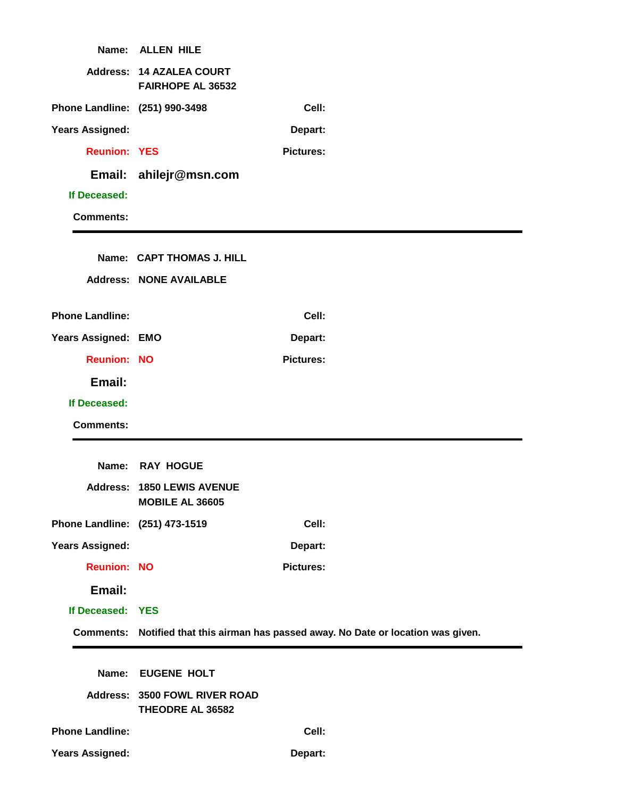| Name:                          | <b>ALLEN HILE</b>                                           |                  |                                                                                     |
|--------------------------------|-------------------------------------------------------------|------------------|-------------------------------------------------------------------------------------|
|                                | <b>Address: 14 AZALEA COURT</b><br><b>FAIRHOPE AL 36532</b> |                  |                                                                                     |
| Phone Landline: (251) 990-3498 |                                                             | Cell:            |                                                                                     |
| <b>Years Assigned:</b>         |                                                             | Depart:          |                                                                                     |
| <b>Reunion: YES</b>            |                                                             | <b>Pictures:</b> |                                                                                     |
|                                | Email: ahilejr@msn.com                                      |                  |                                                                                     |
| If Deceased:                   |                                                             |                  |                                                                                     |
| <b>Comments:</b>               |                                                             |                  |                                                                                     |
|                                |                                                             |                  |                                                                                     |
|                                | Name: CAPT THOMAS J. HILL                                   |                  |                                                                                     |
|                                | <b>Address: NONE AVAILABLE</b>                              |                  |                                                                                     |
| <b>Phone Landline:</b>         |                                                             | Cell:            |                                                                                     |
| Years Assigned: EMO            |                                                             | Depart:          |                                                                                     |
| <b>Reunion: NO</b>             |                                                             | <b>Pictures:</b> |                                                                                     |
| Email:                         |                                                             |                  |                                                                                     |
| If Deceased:                   |                                                             |                  |                                                                                     |
| <b>Comments:</b>               |                                                             |                  |                                                                                     |
|                                |                                                             |                  |                                                                                     |
| Name:                          | <b>RAY HOGUE</b>                                            |                  |                                                                                     |
|                                | <b>Address: 1850 LEWIS AVENUE</b><br><b>MOBILE AL 36605</b> |                  |                                                                                     |
| Phone Landline: (251) 473-1519 |                                                             | Cell:            |                                                                                     |
| <b>Years Assigned:</b>         |                                                             | Depart:          |                                                                                     |
| <b>Reunion: NO</b>             |                                                             | <b>Pictures:</b> |                                                                                     |
| Email:                         |                                                             |                  |                                                                                     |
| If Deceased: YES               |                                                             |                  |                                                                                     |
|                                |                                                             |                  | Comments: Notified that this airman has passed away. No Date or location was given. |
|                                |                                                             |                  |                                                                                     |
| Name:                          | <b>EUGENE HOLT</b>                                          |                  |                                                                                     |
|                                | Address: 3500 FOWL RIVER ROAD<br>THEODRE AL 36582           |                  |                                                                                     |
| <b>Phone Landline:</b>         |                                                             | Cell:            |                                                                                     |
| <b>Years Assigned:</b>         |                                                             | Depart:          |                                                                                     |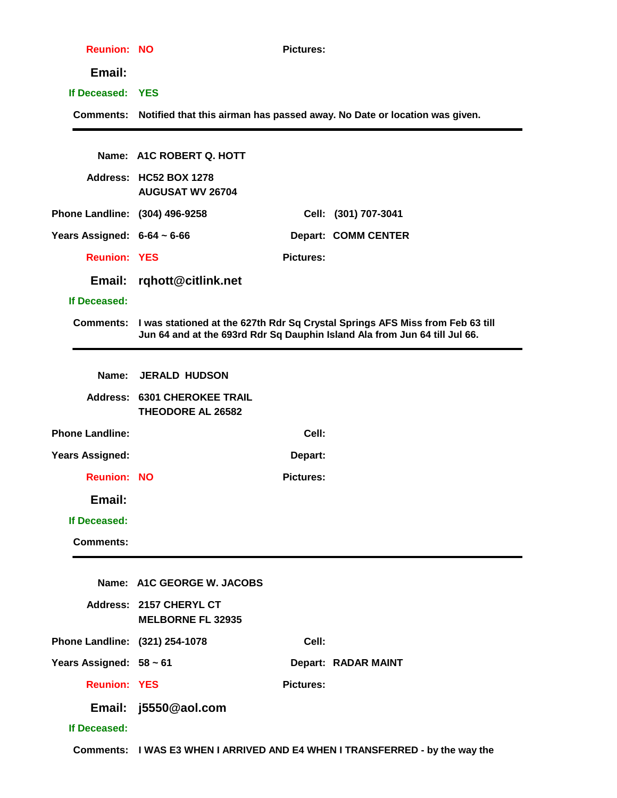| <b>Reunion: NO</b>               |                                                                 | <b>Pictures:</b> |                                                                                                                                                                       |
|----------------------------------|-----------------------------------------------------------------|------------------|-----------------------------------------------------------------------------------------------------------------------------------------------------------------------|
| Email:                           |                                                                 |                  |                                                                                                                                                                       |
| If Deceased: YES                 |                                                                 |                  |                                                                                                                                                                       |
|                                  |                                                                 |                  | Comments: Notified that this airman has passed away. No Date or location was given.                                                                                   |
|                                  |                                                                 |                  |                                                                                                                                                                       |
|                                  | Name: A1C ROBERT Q. HOTT                                        |                  |                                                                                                                                                                       |
|                                  | Address: HC52 BOX 1278<br><b>AUGUSAT WV 26704</b>               |                  |                                                                                                                                                                       |
| Phone Landline: (304) 496-9258   |                                                                 |                  | Cell: (301) 707-3041                                                                                                                                                  |
| Years Assigned: $6-64 \sim 6-66$ |                                                                 |                  | <b>Depart: COMM CENTER</b>                                                                                                                                            |
| <b>Reunion: YES</b>              |                                                                 | <b>Pictures:</b> |                                                                                                                                                                       |
| Email:                           | rqhott@citlink.net                                              |                  |                                                                                                                                                                       |
| If Deceased:                     |                                                                 |                  |                                                                                                                                                                       |
|                                  |                                                                 |                  | Comments: I was stationed at the 627th Rdr Sq Crystal Springs AFS Miss from Feb 63 till<br>Jun 64 and at the 693rd Rdr Sq Dauphin Island Ala from Jun 64 till Jul 66. |
|                                  |                                                                 |                  |                                                                                                                                                                       |
| Name:                            | <b>JERALD HUDSON</b>                                            |                  |                                                                                                                                                                       |
|                                  | <b>Address: 6301 CHEROKEE TRAIL</b><br><b>THEODORE AL 26582</b> |                  |                                                                                                                                                                       |
| <b>Phone Landline:</b>           |                                                                 | Cell:            |                                                                                                                                                                       |
| <b>Years Assigned:</b>           |                                                                 | Depart:          |                                                                                                                                                                       |
| <b>Reunion: NO</b>               |                                                                 | <b>Pictures:</b> |                                                                                                                                                                       |
| Email:                           |                                                                 |                  |                                                                                                                                                                       |
| If Deceased:                     |                                                                 |                  |                                                                                                                                                                       |
| <b>Comments:</b>                 |                                                                 |                  |                                                                                                                                                                       |
|                                  | Name: A1C GEORGE W. JACOBS                                      |                  |                                                                                                                                                                       |
|                                  |                                                                 |                  |                                                                                                                                                                       |
|                                  | Address: 2157 CHERYL CT<br><b>MELBORNE FL 32935</b>             |                  |                                                                                                                                                                       |
| Phone Landline: (321) 254-1078   |                                                                 | Cell:            |                                                                                                                                                                       |
| Years Assigned: 58 ~ 61          |                                                                 |                  | Depart: RADAR MAINT                                                                                                                                                   |
| <b>Reunion: YES</b>              |                                                                 | <b>Pictures:</b> |                                                                                                                                                                       |
|                                  | Email: j5550@aol.com                                            |                  |                                                                                                                                                                       |
| If Deceased:                     |                                                                 |                  |                                                                                                                                                                       |
|                                  |                                                                 |                  | Comments: I WAS E3 WHEN I ARRIVED AND E4 WHEN I TRANSFERRED - by the way the                                                                                          |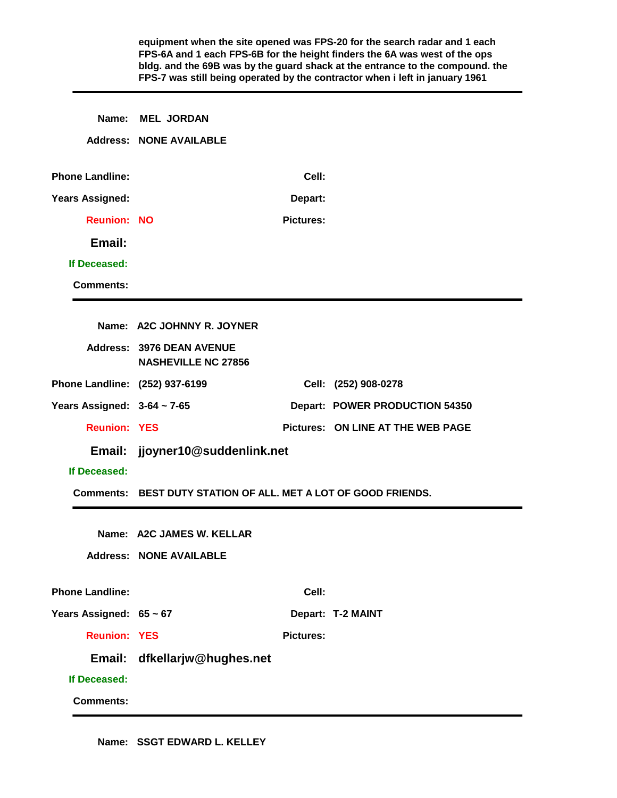|                                  |                                                                |                  | equipment when the site opened was FPS-20 for the search radar and 1 each<br>FPS-6A and 1 each FPS-6B for the height finders the 6A was west of the ops<br>bldg. and the 69B was by the guard shack at the entrance to the compound. the<br>FPS-7 was still being operated by the contractor when i left in january 1961 |
|----------------------------------|----------------------------------------------------------------|------------------|--------------------------------------------------------------------------------------------------------------------------------------------------------------------------------------------------------------------------------------------------------------------------------------------------------------------------|
| Name:                            | <b>MEL JORDAN</b><br><b>Address: NONE AVAILABLE</b>            |                  |                                                                                                                                                                                                                                                                                                                          |
|                                  |                                                                |                  |                                                                                                                                                                                                                                                                                                                          |
| <b>Phone Landline:</b>           |                                                                | Cell:            |                                                                                                                                                                                                                                                                                                                          |
| <b>Years Assigned:</b>           |                                                                | Depart:          |                                                                                                                                                                                                                                                                                                                          |
| <b>Reunion: NO</b>               |                                                                | <b>Pictures:</b> |                                                                                                                                                                                                                                                                                                                          |
| Email:                           |                                                                |                  |                                                                                                                                                                                                                                                                                                                          |
| If Deceased:                     |                                                                |                  |                                                                                                                                                                                                                                                                                                                          |
| <b>Comments:</b>                 |                                                                |                  |                                                                                                                                                                                                                                                                                                                          |
|                                  |                                                                |                  |                                                                                                                                                                                                                                                                                                                          |
|                                  | Name: A2C JOHNNY R. JOYNER                                     |                  |                                                                                                                                                                                                                                                                                                                          |
|                                  | Address: 3976 DEAN AVENUE<br><b>NASHEVILLE NC 27856</b>        |                  |                                                                                                                                                                                                                                                                                                                          |
| Phone Landline: (252) 937-6199   |                                                                |                  | Cell: (252) 908-0278                                                                                                                                                                                                                                                                                                     |
| Years Assigned: $3-64 \sim 7-65$ |                                                                |                  | Depart: POWER PRODUCTION 54350                                                                                                                                                                                                                                                                                           |
| <b>Reunion: YES</b>              |                                                                |                  | <b>Pictures: ON LINE AT THE WEB PAGE</b>                                                                                                                                                                                                                                                                                 |
| Email:                           | jjoyner10@suddenlink.net                                       |                  |                                                                                                                                                                                                                                                                                                                          |
| If Deceased:                     |                                                                |                  |                                                                                                                                                                                                                                                                                                                          |
|                                  | Comments: BEST DUTY STATION OF ALL. MET A LOT OF GOOD FRIENDS. |                  |                                                                                                                                                                                                                                                                                                                          |
|                                  | Name: A2C JAMES W. KELLAR                                      |                  |                                                                                                                                                                                                                                                                                                                          |
|                                  | <b>Address: NONE AVAILABLE</b>                                 |                  |                                                                                                                                                                                                                                                                                                                          |
|                                  |                                                                |                  |                                                                                                                                                                                                                                                                                                                          |
| <b>Phone Landline:</b>           |                                                                | Cell:            |                                                                                                                                                                                                                                                                                                                          |
| Years Assigned: 65 ~ 67          |                                                                |                  | Depart: T-2 MAINT                                                                                                                                                                                                                                                                                                        |
| <b>Reunion: YES</b>              |                                                                | <b>Pictures:</b> |                                                                                                                                                                                                                                                                                                                          |
|                                  | Email: dfkellarjw@hughes.net                                   |                  |                                                                                                                                                                                                                                                                                                                          |
| If Deceased:                     |                                                                |                  |                                                                                                                                                                                                                                                                                                                          |
| <b>Comments:</b>                 |                                                                |                  |                                                                                                                                                                                                                                                                                                                          |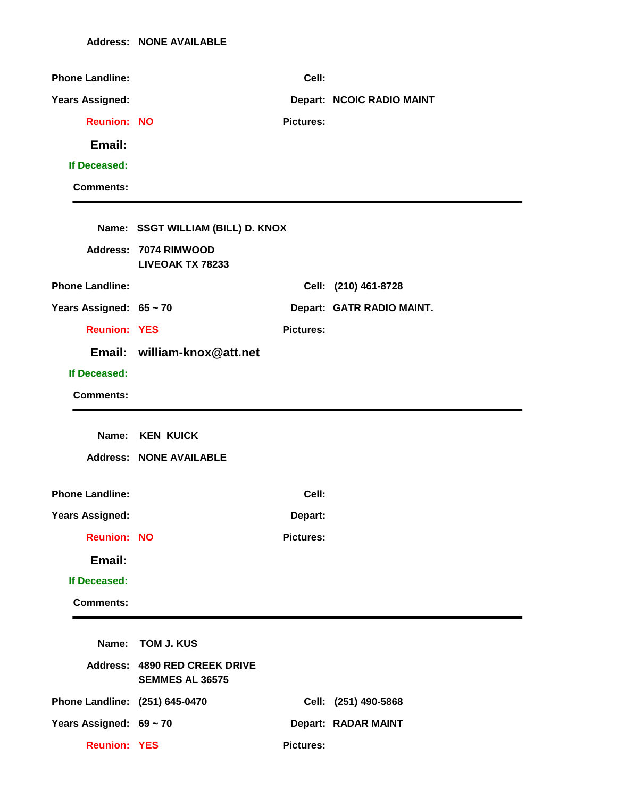| <b>Phone Landline:</b>         |                                                         | Cell:            |                           |
|--------------------------------|---------------------------------------------------------|------------------|---------------------------|
| <b>Years Assigned:</b>         |                                                         |                  | Depart: NCOIC RADIO MAINT |
| <b>Reunion: NO</b>             |                                                         | <b>Pictures:</b> |                           |
| Email:                         |                                                         |                  |                           |
| If Deceased:                   |                                                         |                  |                           |
| <b>Comments:</b>               |                                                         |                  |                           |
|                                |                                                         |                  |                           |
|                                | Name: SSGT WILLIAM (BILL) D. KNOX                       |                  |                           |
|                                | Address: 7074 RIMWOOD<br><b>LIVEOAK TX 78233</b>        |                  |                           |
| <b>Phone Landline:</b>         |                                                         |                  | Cell: (210) 461-8728      |
| Years Assigned: 65 ~ 70        |                                                         |                  | Depart: GATR RADIO MAINT. |
| <b>Reunion: YES</b>            |                                                         | <b>Pictures:</b> |                           |
|                                | Email: william-knox@att.net                             |                  |                           |
| If Deceased:                   |                                                         |                  |                           |
| <b>Comments:</b>               |                                                         |                  |                           |
|                                |                                                         |                  |                           |
|                                |                                                         |                  |                           |
|                                | Name: KEN KUICK                                         |                  |                           |
|                                | <b>Address: NONE AVAILABLE</b>                          |                  |                           |
| <b>Phone Landline:</b>         |                                                         | Cell:            |                           |
| <b>Years Assigned:</b>         |                                                         | Depart:          |                           |
| <b>Reunion: NO</b>             |                                                         | <b>Pictures:</b> |                           |
| Email:                         |                                                         |                  |                           |
| If Deceased:                   |                                                         |                  |                           |
| <b>Comments:</b>               |                                                         |                  |                           |
|                                |                                                         |                  |                           |
| Name:                          | <b>TOM J. KUS</b>                                       |                  |                           |
|                                | Address: 4890 RED CREEK DRIVE<br><b>SEMMES AL 36575</b> |                  |                           |
| Phone Landline: (251) 645-0470 |                                                         |                  | Cell: (251) 490-5868      |
| Years Assigned: 69 ~ 70        |                                                         |                  | Depart: RADAR MAINT       |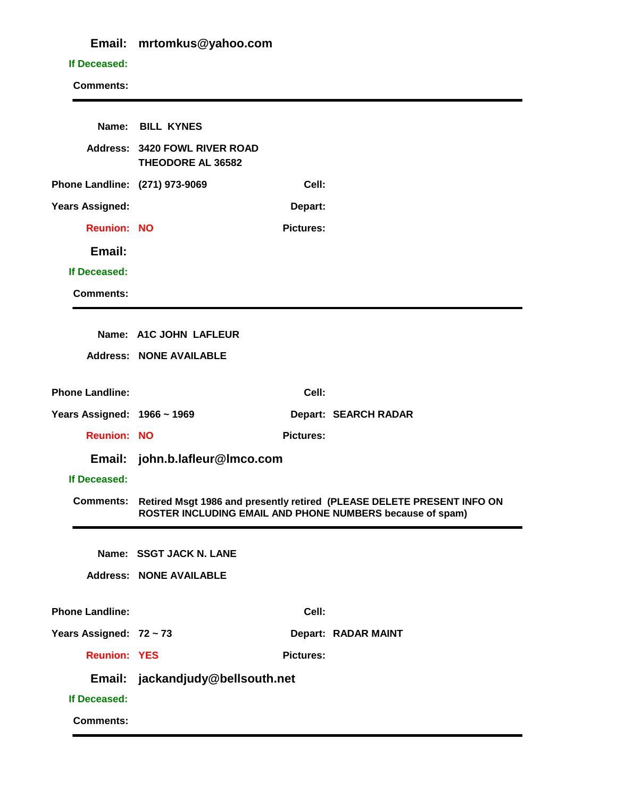## **Email: mrtomkus@yahoo.com**

## **If Deceased:**

|                                | Name: BILL KYNES                                          |                  |                                                                                                                                     |
|--------------------------------|-----------------------------------------------------------|------------------|-------------------------------------------------------------------------------------------------------------------------------------|
|                                | Address: 3420 FOWL RIVER ROAD<br><b>THEODORE AL 36582</b> |                  |                                                                                                                                     |
| Phone Landline: (271) 973-9069 |                                                           | Cell:            |                                                                                                                                     |
| <b>Years Assigned:</b>         |                                                           | Depart:          |                                                                                                                                     |
| <b>Reunion: NO</b>             |                                                           | <b>Pictures:</b> |                                                                                                                                     |
| Email:                         |                                                           |                  |                                                                                                                                     |
| If Deceased:                   |                                                           |                  |                                                                                                                                     |
| <b>Comments:</b>               |                                                           |                  |                                                                                                                                     |
|                                |                                                           |                  |                                                                                                                                     |
|                                | Name: A1C JOHN LAFLEUR                                    |                  |                                                                                                                                     |
|                                | <b>Address: NONE AVAILABLE</b>                            |                  |                                                                                                                                     |
| <b>Phone Landline:</b>         |                                                           | Cell:            |                                                                                                                                     |
| Years Assigned: 1966 ~ 1969    |                                                           |                  | <b>Depart: SEARCH RADAR</b>                                                                                                         |
| <b>Reunion: NO</b>             |                                                           | <b>Pictures:</b> |                                                                                                                                     |
| Email:                         | john.b.lafleur@Imco.com                                   |                  |                                                                                                                                     |
| If Deceased:                   |                                                           |                  |                                                                                                                                     |
| <b>Comments:</b>               |                                                           |                  | Retired Msgt 1986 and presently retired (PLEASE DELETE PRESENT INFO ON<br>ROSTER INCLUDING EMAIL AND PHONE NUMBERS because of spam) |
|                                |                                                           |                  |                                                                                                                                     |
|                                | Name: SSGT JACK N. LANE                                   |                  |                                                                                                                                     |
|                                | <b>Address: NONE AVAILABLE</b>                            |                  |                                                                                                                                     |
| <b>Phone Landline:</b>         |                                                           | Cell:            |                                                                                                                                     |
| Years Assigned: 72 ~ 73        |                                                           |                  | Depart: RADAR MAINT                                                                                                                 |
| <b>Reunion: YES</b>            |                                                           | <b>Pictures:</b> |                                                                                                                                     |
|                                | Email: jackandjudy@bellsouth.net                          |                  |                                                                                                                                     |
| If Deceased:                   |                                                           |                  |                                                                                                                                     |
| <b>Comments:</b>               |                                                           |                  |                                                                                                                                     |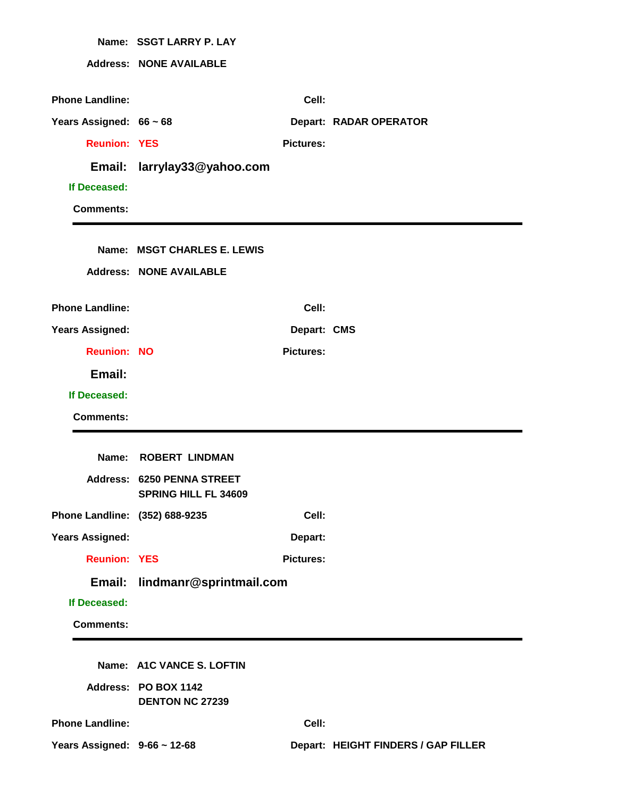|                                                        | Name: SSGT LARRY P. LAY                                          |                  |                                     |
|--------------------------------------------------------|------------------------------------------------------------------|------------------|-------------------------------------|
|                                                        | <b>Address: NONE AVAILABLE</b>                                   |                  |                                     |
|                                                        |                                                                  |                  |                                     |
| <b>Phone Landline:</b>                                 |                                                                  | Cell:            |                                     |
| Years Assigned: 66 ~ 68                                |                                                                  |                  | <b>Depart: RADAR OPERATOR</b>       |
| <b>Reunion: YES</b>                                    |                                                                  | <b>Pictures:</b> |                                     |
| Email:                                                 | larrylay33@yahoo.com                                             |                  |                                     |
| If Deceased:                                           |                                                                  |                  |                                     |
| <b>Comments:</b>                                       |                                                                  |                  |                                     |
|                                                        |                                                                  |                  |                                     |
|                                                        | Name: MSGT CHARLES E. LEWIS                                      |                  |                                     |
|                                                        | <b>Address: NONE AVAILABLE</b>                                   |                  |                                     |
| <b>Phone Landline:</b>                                 |                                                                  | Cell:            |                                     |
| <b>Years Assigned:</b>                                 |                                                                  | Depart: CMS      |                                     |
| <b>Reunion: NO</b>                                     |                                                                  | <b>Pictures:</b> |                                     |
| Email:                                                 |                                                                  |                  |                                     |
|                                                        |                                                                  |                  |                                     |
| If Deceased:                                           |                                                                  |                  |                                     |
| <b>Comments:</b>                                       |                                                                  |                  |                                     |
|                                                        |                                                                  |                  |                                     |
| Name:                                                  | <b>ROBERT LINDMAN</b>                                            |                  |                                     |
|                                                        | <b>Address: 6250 PENNA STREET</b><br><b>SPRING HILL FL 34609</b> |                  |                                     |
| Phone Landline: (352) 688-9235                         |                                                                  | Cell:            |                                     |
| <b>Years Assigned:</b>                                 |                                                                  | Depart:          |                                     |
| <b>Reunion: YES</b>                                    |                                                                  | <b>Pictures:</b> |                                     |
| Email:                                                 | lindmanr@sprintmail.com                                          |                  |                                     |
| If Deceased:                                           |                                                                  |                  |                                     |
| <b>Comments:</b>                                       |                                                                  |                  |                                     |
|                                                        |                                                                  |                  |                                     |
|                                                        | Name: A1C VANCE S. LOFTIN                                        |                  |                                     |
|                                                        | Address: PO BOX 1142                                             |                  |                                     |
|                                                        | <b>DENTON NC 27239</b>                                           |                  |                                     |
| <b>Phone Landline:</b><br>Years Assigned: 9-66 ~ 12-68 |                                                                  | Cell:            | Depart: HEIGHT FINDERS / GAP FILLER |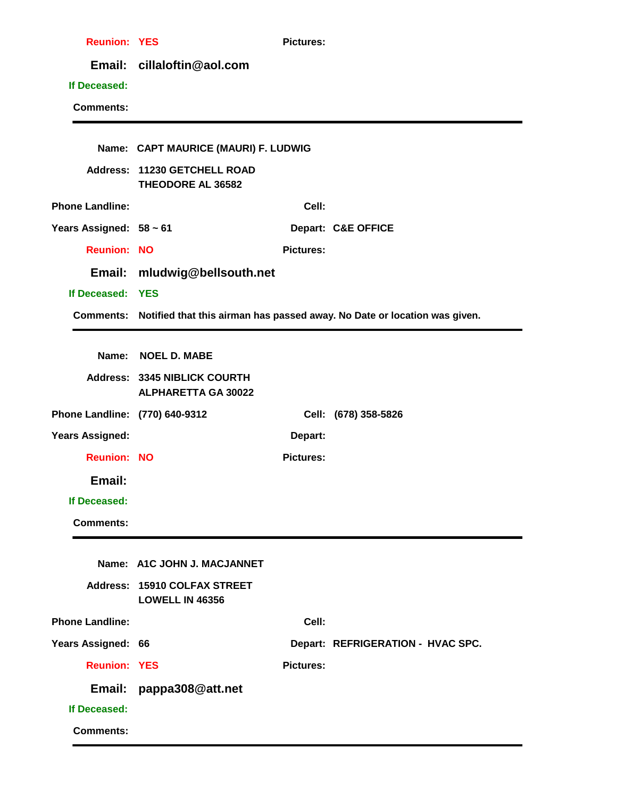| <b>Reunion: YES</b>            |                                                            | <b>Pictures:</b> |                                                                                     |
|--------------------------------|------------------------------------------------------------|------------------|-------------------------------------------------------------------------------------|
|                                | Email: cillaloftin@aol.com                                 |                  |                                                                                     |
| If Deceased:                   |                                                            |                  |                                                                                     |
| <b>Comments:</b>               |                                                            |                  |                                                                                     |
|                                |                                                            |                  |                                                                                     |
|                                | Name: CAPT MAURICE (MAURI) F. LUDWIG                       |                  |                                                                                     |
|                                | Address: 11230 GETCHELL ROAD<br><b>THEODORE AL 36582</b>   |                  |                                                                                     |
| <b>Phone Landline:</b>         |                                                            | Cell:            |                                                                                     |
| Years Assigned: 58 ~ 61        |                                                            |                  | Depart: C&E OFFICE                                                                  |
| <b>Reunion: NO</b>             |                                                            | <b>Pictures:</b> |                                                                                     |
|                                | Email: mludwig@bellsouth.net                               |                  |                                                                                     |
| If Deceased: YES               |                                                            |                  |                                                                                     |
|                                |                                                            |                  | Comments: Notified that this airman has passed away. No Date or location was given. |
|                                |                                                            |                  |                                                                                     |
|                                | Name: NOEL D. MABE                                         |                  |                                                                                     |
|                                | Address: 3345 NIBLICK COURTH<br><b>ALPHARETTA GA 30022</b> |                  |                                                                                     |
| Phone Landline: (770) 640-9312 |                                                            |                  | Cell: (678) 358-5826                                                                |
| Years Assigned:                |                                                            | Depart:          |                                                                                     |
| <b>Reunion: NO</b>             |                                                            | <b>Pictures:</b> |                                                                                     |
| Email:                         |                                                            |                  |                                                                                     |
| If Deceased:                   |                                                            |                  |                                                                                     |
| <b>Comments:</b>               |                                                            |                  |                                                                                     |
|                                |                                                            |                  |                                                                                     |
|                                | Name: A1C JOHN J. MACJANNET                                |                  |                                                                                     |
|                                | Address: 15910 COLFAX STREET<br>LOWELL IN 46356            |                  |                                                                                     |
| <b>Phone Landline:</b>         |                                                            | Cell:            |                                                                                     |
| Years Assigned: 66             |                                                            |                  | Depart: REFRIGERATION - HVAC SPC.                                                   |
| <b>Reunion: YES</b>            |                                                            | <b>Pictures:</b> |                                                                                     |
| Email:                         | pappa308@att.net                                           |                  |                                                                                     |
| If Deceased:                   |                                                            |                  |                                                                                     |
| <b>Comments:</b>               |                                                            |                  |                                                                                     |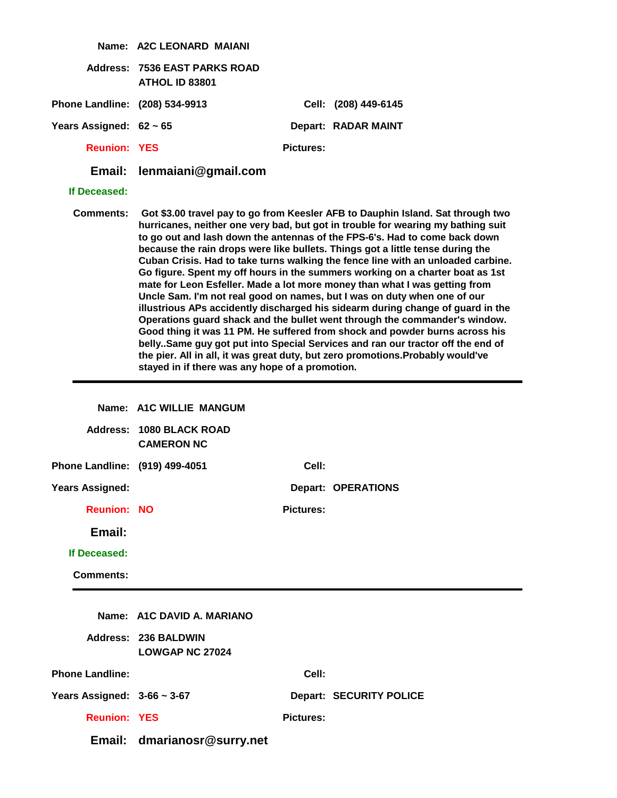|                                  | Name: A2C LEONARD MAIANI                               |                  |                                                                                                                                                                                                                                                                                                                                                                                                                                                                                                                                                                                                                                                                                                                                                                                                                                                                                                                                                                                                                                                                                           |
|----------------------------------|--------------------------------------------------------|------------------|-------------------------------------------------------------------------------------------------------------------------------------------------------------------------------------------------------------------------------------------------------------------------------------------------------------------------------------------------------------------------------------------------------------------------------------------------------------------------------------------------------------------------------------------------------------------------------------------------------------------------------------------------------------------------------------------------------------------------------------------------------------------------------------------------------------------------------------------------------------------------------------------------------------------------------------------------------------------------------------------------------------------------------------------------------------------------------------------|
|                                  | <b>Address: 7536 EAST PARKS ROAD</b><br>ATHOL ID 83801 |                  |                                                                                                                                                                                                                                                                                                                                                                                                                                                                                                                                                                                                                                                                                                                                                                                                                                                                                                                                                                                                                                                                                           |
| Phone Landline: (208) 534-9913   |                                                        |                  | Cell: (208) 449-6145                                                                                                                                                                                                                                                                                                                                                                                                                                                                                                                                                                                                                                                                                                                                                                                                                                                                                                                                                                                                                                                                      |
| Years Assigned: $62 \sim 65$     |                                                        |                  | Depart: RADAR MAINT                                                                                                                                                                                                                                                                                                                                                                                                                                                                                                                                                                                                                                                                                                                                                                                                                                                                                                                                                                                                                                                                       |
| <b>Reunion: YES</b>              |                                                        | <b>Pictures:</b> |                                                                                                                                                                                                                                                                                                                                                                                                                                                                                                                                                                                                                                                                                                                                                                                                                                                                                                                                                                                                                                                                                           |
| Email:                           | lenmaiani@gmail.com                                    |                  |                                                                                                                                                                                                                                                                                                                                                                                                                                                                                                                                                                                                                                                                                                                                                                                                                                                                                                                                                                                                                                                                                           |
| If Deceased:                     |                                                        |                  |                                                                                                                                                                                                                                                                                                                                                                                                                                                                                                                                                                                                                                                                                                                                                                                                                                                                                                                                                                                                                                                                                           |
| <b>Comments:</b>                 | stayed in if there was any hope of a promotion.        |                  | Got \$3.00 travel pay to go from Keesler AFB to Dauphin Island. Sat through two<br>hurricanes, neither one very bad, but got in trouble for wearing my bathing suit<br>to go out and lash down the antennas of the FPS-6's. Had to come back down<br>because the rain drops were like bullets. Things got a little tense during the<br>Cuban Crisis. Had to take turns walking the fence line with an unloaded carbine.<br>Go figure. Spent my off hours in the summers working on a charter boat as 1st<br>mate for Leon Esfeller. Made a lot more money than what I was getting from<br>Uncle Sam. I'm not real good on names, but I was on duty when one of our<br>illustrious APs accidently discharged his sidearm during change of guard in the<br>Operations guard shack and the bullet went through the commander's window.<br>Good thing it was 11 PM. He suffered from shock and powder burns across his<br>belly. Same guy got put into Special Services and ran our tractor off the end of<br>the pier. All in all, it was great duty, but zero promotions. Probably would've |
|                                  |                                                        |                  |                                                                                                                                                                                                                                                                                                                                                                                                                                                                                                                                                                                                                                                                                                                                                                                                                                                                                                                                                                                                                                                                                           |
|                                  | Name: A1C WILLIE MANGUM                                |                  |                                                                                                                                                                                                                                                                                                                                                                                                                                                                                                                                                                                                                                                                                                                                                                                                                                                                                                                                                                                                                                                                                           |
|                                  | <b>Address: 1080 BLACK ROAD</b><br><b>CAMERON NC</b>   |                  |                                                                                                                                                                                                                                                                                                                                                                                                                                                                                                                                                                                                                                                                                                                                                                                                                                                                                                                                                                                                                                                                                           |
| Phone Landline: (919) 499-4051   |                                                        | Cell:            |                                                                                                                                                                                                                                                                                                                                                                                                                                                                                                                                                                                                                                                                                                                                                                                                                                                                                                                                                                                                                                                                                           |
| <b>Years Assigned:</b>           |                                                        |                  | <b>Depart: OPERATIONS</b>                                                                                                                                                                                                                                                                                                                                                                                                                                                                                                                                                                                                                                                                                                                                                                                                                                                                                                                                                                                                                                                                 |
| <b>Reunion: NO</b>               |                                                        | <b>Pictures:</b> |                                                                                                                                                                                                                                                                                                                                                                                                                                                                                                                                                                                                                                                                                                                                                                                                                                                                                                                                                                                                                                                                                           |
| Email:                           |                                                        |                  |                                                                                                                                                                                                                                                                                                                                                                                                                                                                                                                                                                                                                                                                                                                                                                                                                                                                                                                                                                                                                                                                                           |
| If Deceased:                     |                                                        |                  |                                                                                                                                                                                                                                                                                                                                                                                                                                                                                                                                                                                                                                                                                                                                                                                                                                                                                                                                                                                                                                                                                           |
| <b>Comments:</b>                 |                                                        |                  |                                                                                                                                                                                                                                                                                                                                                                                                                                                                                                                                                                                                                                                                                                                                                                                                                                                                                                                                                                                                                                                                                           |
|                                  |                                                        |                  |                                                                                                                                                                                                                                                                                                                                                                                                                                                                                                                                                                                                                                                                                                                                                                                                                                                                                                                                                                                                                                                                                           |
|                                  | Name: A1C DAVID A. MARIANO                             |                  |                                                                                                                                                                                                                                                                                                                                                                                                                                                                                                                                                                                                                                                                                                                                                                                                                                                                                                                                                                                                                                                                                           |
|                                  | <b>Address: 236 BALDWIN</b><br><b>LOWGAP NC 27024</b>  |                  |                                                                                                                                                                                                                                                                                                                                                                                                                                                                                                                                                                                                                                                                                                                                                                                                                                                                                                                                                                                                                                                                                           |
| <b>Phone Landline:</b>           |                                                        | Cell:            |                                                                                                                                                                                                                                                                                                                                                                                                                                                                                                                                                                                                                                                                                                                                                                                                                                                                                                                                                                                                                                                                                           |
| Years Assigned: $3-66 \sim 3-67$ |                                                        |                  | <b>Depart: SECURITY POLICE</b>                                                                                                                                                                                                                                                                                                                                                                                                                                                                                                                                                                                                                                                                                                                                                                                                                                                                                                                                                                                                                                                            |
| <b>Reunion: YES</b>              |                                                        | <b>Pictures:</b> |                                                                                                                                                                                                                                                                                                                                                                                                                                                                                                                                                                                                                                                                                                                                                                                                                                                                                                                                                                                                                                                                                           |
|                                  | Email: dmarianosr@surry.net                            |                  |                                                                                                                                                                                                                                                                                                                                                                                                                                                                                                                                                                                                                                                                                                                                                                                                                                                                                                                                                                                                                                                                                           |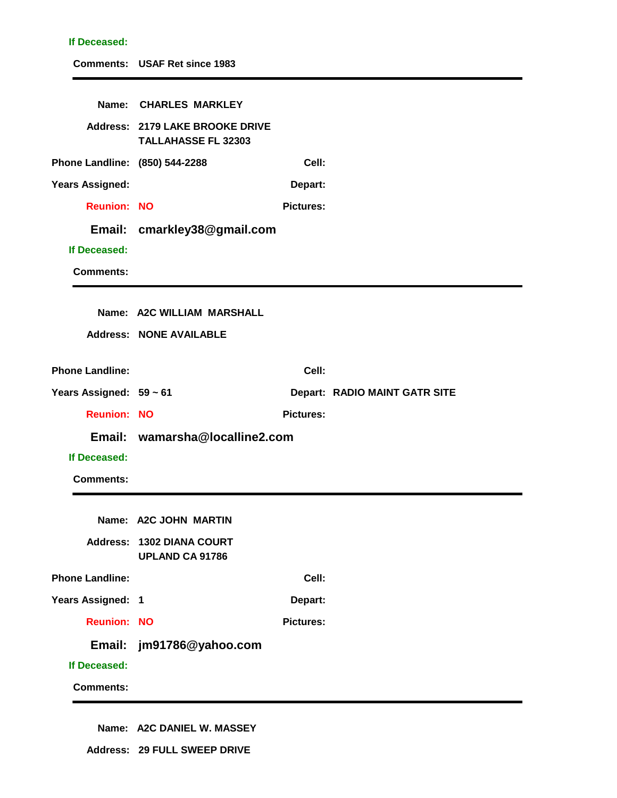| If Deceased:                   |                                                                      |                  |                               |
|--------------------------------|----------------------------------------------------------------------|------------------|-------------------------------|
|                                | <b>Comments: USAF Ret since 1983</b>                                 |                  |                               |
| Name:                          | <b>CHARLES MARKLEY</b>                                               |                  |                               |
|                                |                                                                      |                  |                               |
|                                | <b>Address: 2179 LAKE BROOKE DRIVE</b><br><b>TALLAHASSE FL 32303</b> |                  |                               |
| Phone Landline: (850) 544-2288 |                                                                      | Cell:            |                               |
| <b>Years Assigned:</b>         |                                                                      | Depart:          |                               |
| <b>Reunion: NO</b>             |                                                                      | <b>Pictures:</b> |                               |
| Email:                         | cmarkley38@gmail.com                                                 |                  |                               |
| If Deceased:                   |                                                                      |                  |                               |
| <b>Comments:</b>               |                                                                      |                  |                               |
|                                | Name: A2C WILLIAM MARSHALL                                           |                  |                               |
|                                | <b>Address: NONE AVAILABLE</b>                                       |                  |                               |
|                                |                                                                      |                  |                               |
| <b>Phone Landline:</b>         |                                                                      | Cell:            |                               |
| Years Assigned: 59 ~ 61        |                                                                      |                  | Depart: RADIO MAINT GATR SITE |
| <b>Reunion: NO</b>             |                                                                      | <b>Pictures:</b> |                               |
|                                | Email: wamarsha@localline2.com                                       |                  |                               |
| If Deceased:                   |                                                                      |                  |                               |
| <b>Comments:</b>               |                                                                      |                  |                               |
|                                | Name: A2C JOHN MARTIN                                                |                  |                               |
|                                | Address: 1302 DIANA COURT                                            |                  |                               |
|                                | <b>UPLAND CA 91786</b>                                               |                  |                               |
| <b>Phone Landline:</b>         |                                                                      | Cell:            |                               |
| Years Assigned: 1              |                                                                      | Depart:          |                               |
| <b>Reunion: NO</b>             |                                                                      | <b>Pictures:</b> |                               |
| Email:                         | jm91786@yahoo.com                                                    |                  |                               |
| If Deceased:                   |                                                                      |                  |                               |
|                                |                                                                      |                  |                               |
| <b>Comments:</b>               |                                                                      |                  |                               |

**Name: A2C DANIEL W. MASSEY**

**Address: 29 FULL SWEEP DRIVE**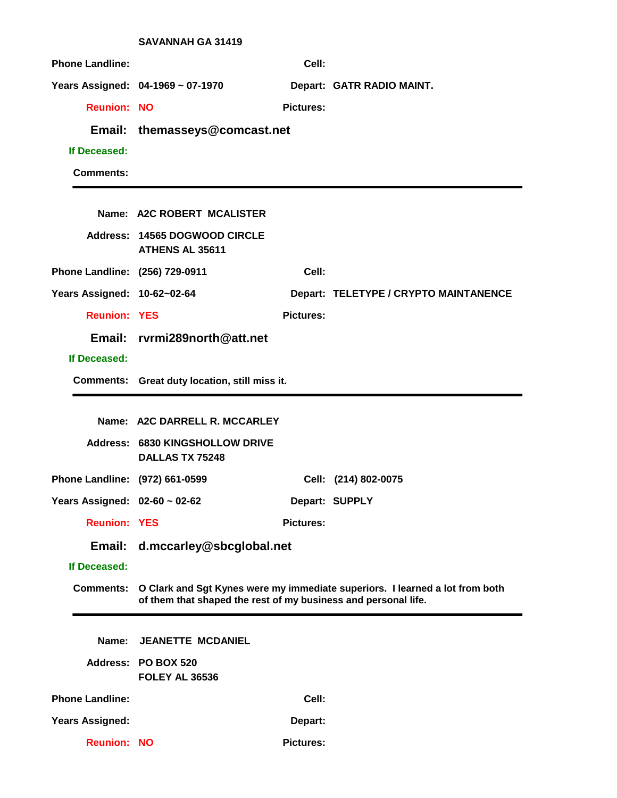|                                | <b>SAVANNAH GA 31419</b>                                       |                  |                                                                              |
|--------------------------------|----------------------------------------------------------------|------------------|------------------------------------------------------------------------------|
| <b>Phone Landline:</b>         |                                                                | Cell:            |                                                                              |
|                                | Years Assigned: 04-1969 ~ 07-1970                              |                  | Depart: GATR RADIO MAINT.                                                    |
| <b>Reunion: NO</b>             |                                                                | <b>Pictures:</b> |                                                                              |
|                                | Email: themasseys@comcast.net                                  |                  |                                                                              |
| If Deceased:                   |                                                                |                  |                                                                              |
| <b>Comments:</b>               |                                                                |                  |                                                                              |
|                                |                                                                |                  |                                                                              |
|                                | Name: A2C ROBERT MCALISTER                                     |                  |                                                                              |
|                                | Address: 14565 DOGWOOD CIRCLE<br><b>ATHENS AL 35611</b>        |                  |                                                                              |
| Phone Landline: (256) 729-0911 |                                                                | Cell:            |                                                                              |
| Years Assigned: 10-62~02-64    |                                                                |                  | Depart: TELETYPE / CRYPTO MAINTANENCE                                        |
| <b>Reunion: YES</b>            |                                                                | <b>Pictures:</b> |                                                                              |
|                                | Email: rvrmi289north@att.net                                   |                  |                                                                              |
| If Deceased:                   |                                                                |                  |                                                                              |
|                                | Comments: Great duty location, still miss it.                  |                  |                                                                              |
|                                |                                                                |                  |                                                                              |
|                                |                                                                |                  |                                                                              |
|                                | Name: A2C DARRELL R. MCCARLEY                                  |                  |                                                                              |
|                                | Address: 6830 KINGSHOLLOW DRIVE<br><b>DALLAS TX 75248</b>      |                  |                                                                              |
| Phone Landline: (972) 661-0599 |                                                                |                  | Cell: (214) 802-0075                                                         |
| Years Assigned: 02-60 ~ 02-62  |                                                                |                  | Depart: SUPPLY                                                               |
| <b>Reunion: YES</b>            |                                                                | <b>Pictures:</b> |                                                                              |
|                                | Email: d.mccarley@sbcglobal.net                                |                  |                                                                              |
| If Deceased:                   |                                                                |                  |                                                                              |
| <b>Comments:</b>               | of them that shaped the rest of my business and personal life. |                  | O Clark and Sgt Kynes were my immediate superiors. I learned a lot from both |
|                                |                                                                |                  |                                                                              |
| Name:                          | <b>JEANETTE MCDANIEL</b>                                       |                  |                                                                              |
|                                | Address: PO BOX 520<br><b>FOLEY AL 36536</b>                   |                  |                                                                              |
| <b>Phone Landline:</b>         |                                                                | Cell:            |                                                                              |
| <b>Years Assigned:</b>         |                                                                | Depart:          |                                                                              |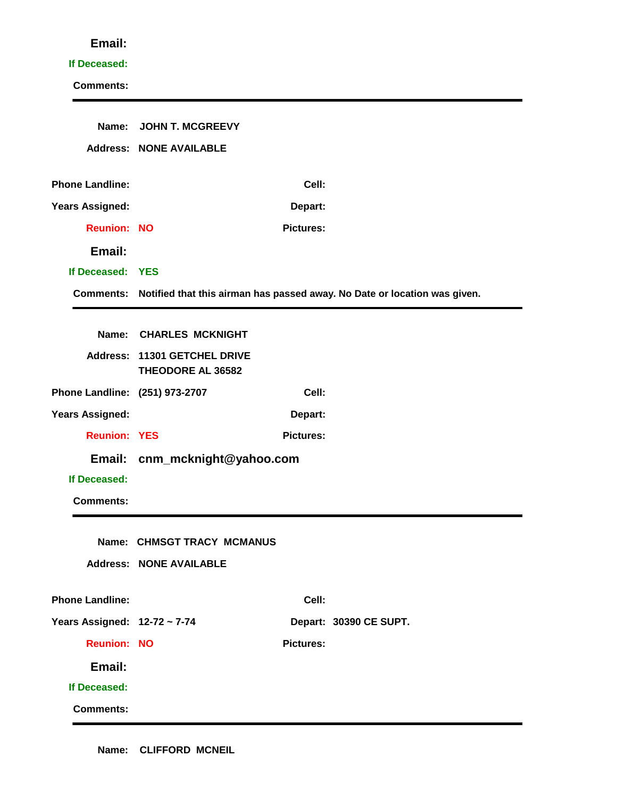#### **If Deceased:**

| Name:                          | <b>JOHN T. MCGREEVY</b>                           |                  |                                                                                     |
|--------------------------------|---------------------------------------------------|------------------|-------------------------------------------------------------------------------------|
|                                | <b>Address: NONE AVAILABLE</b>                    |                  |                                                                                     |
| <b>Phone Landline:</b>         |                                                   | Cell:            |                                                                                     |
| <b>Years Assigned:</b>         |                                                   | Depart:          |                                                                                     |
| <b>Reunion: NO</b>             |                                                   | <b>Pictures:</b> |                                                                                     |
|                                |                                                   |                  |                                                                                     |
| Email:                         |                                                   |                  |                                                                                     |
| If Deceased: YES               |                                                   |                  |                                                                                     |
|                                |                                                   |                  | Comments: Notified that this airman has passed away. No Date or location was given. |
|                                | Name: CHARLES MCKNIGHT                            |                  |                                                                                     |
|                                | Address: 11301 GETCHEL DRIVE<br>THEODORE AL 36582 |                  |                                                                                     |
| Phone Landline: (251) 973-2707 |                                                   | Cell:            |                                                                                     |
| <b>Years Assigned:</b>         |                                                   | Depart:          |                                                                                     |
| <b>Reunion: YES</b>            |                                                   | <b>Pictures:</b> |                                                                                     |
|                                | Email: cnm_mcknight@yahoo.com                     |                  |                                                                                     |
| If Deceased:                   |                                                   |                  |                                                                                     |
| <b>Comments:</b>               |                                                   |                  |                                                                                     |
|                                | Name: CHMSGT TRACY MCMANUS                        |                  |                                                                                     |
|                                | <b>Address: NONE AVAILABLE</b>                    |                  |                                                                                     |
|                                |                                                   |                  |                                                                                     |
| <b>Phone Landline:</b>         |                                                   | Cell:            |                                                                                     |
| Years Assigned: 12-72 ~ 7-74   |                                                   |                  | Depart: 30390 CE SUPT.                                                              |
| <b>Reunion: NO</b>             |                                                   | <b>Pictures:</b> |                                                                                     |
| Email:                         |                                                   |                  |                                                                                     |
| If Deceased:                   |                                                   |                  |                                                                                     |
| <b>Comments:</b>               |                                                   |                  |                                                                                     |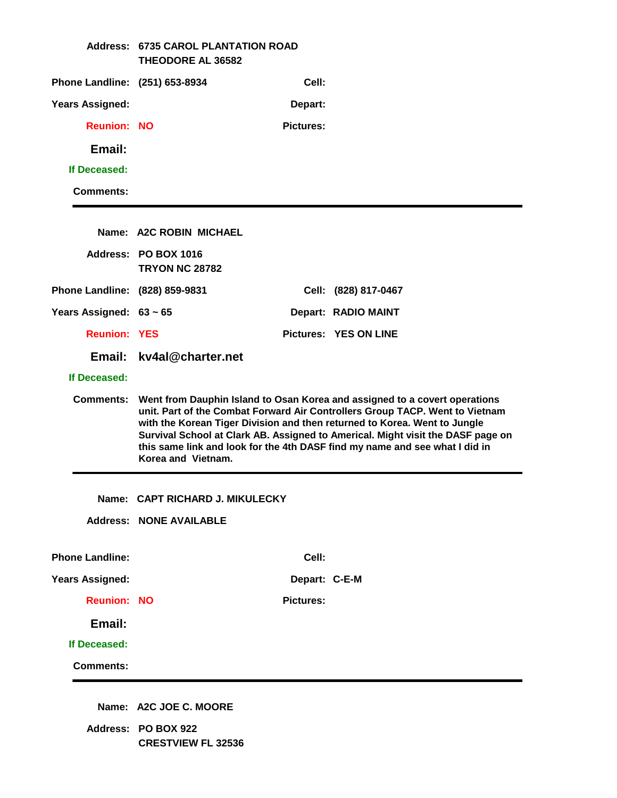|                                | <b>Address: 6735 CAROL PLANTATION ROAD</b><br><b>THEODORE AL 36582</b> |                  |                                                                                                                                                                                                                                                                                                                                                                                                           |
|--------------------------------|------------------------------------------------------------------------|------------------|-----------------------------------------------------------------------------------------------------------------------------------------------------------------------------------------------------------------------------------------------------------------------------------------------------------------------------------------------------------------------------------------------------------|
| Phone Landline: (251) 653-8934 |                                                                        | Cell:            |                                                                                                                                                                                                                                                                                                                                                                                                           |
| <b>Years Assigned:</b>         |                                                                        | Depart:          |                                                                                                                                                                                                                                                                                                                                                                                                           |
| <b>Reunion: NO</b>             |                                                                        | <b>Pictures:</b> |                                                                                                                                                                                                                                                                                                                                                                                                           |
| Email:                         |                                                                        |                  |                                                                                                                                                                                                                                                                                                                                                                                                           |
| If Deceased:                   |                                                                        |                  |                                                                                                                                                                                                                                                                                                                                                                                                           |
| <b>Comments:</b>               |                                                                        |                  |                                                                                                                                                                                                                                                                                                                                                                                                           |
|                                | Name: A2C ROBIN MICHAEL                                                |                  |                                                                                                                                                                                                                                                                                                                                                                                                           |
|                                | Address: PO BOX 1016<br><b>TRYON NC 28782</b>                          |                  |                                                                                                                                                                                                                                                                                                                                                                                                           |
| Phone Landline: (828) 859-9831 |                                                                        |                  | Cell: (828) 817-0467                                                                                                                                                                                                                                                                                                                                                                                      |
| Years Assigned: $63 \sim 65$   |                                                                        |                  | Depart: RADIO MAINT                                                                                                                                                                                                                                                                                                                                                                                       |
| <b>Reunion: YES</b>            |                                                                        |                  | <b>Pictures: YES ON LINE</b>                                                                                                                                                                                                                                                                                                                                                                              |
|                                | Email: kv4al@charter.net                                               |                  |                                                                                                                                                                                                                                                                                                                                                                                                           |
| If Deceased:                   |                                                                        |                  |                                                                                                                                                                                                                                                                                                                                                                                                           |
| <b>Comments:</b>               | Korea and Vietnam.                                                     |                  | Went from Dauphin Island to Osan Korea and assigned to a covert operations<br>unit. Part of the Combat Forward Air Controllers Group TACP. Went to Vietnam<br>with the Korean Tiger Division and then returned to Korea. Went to Jungle<br>Survival School at Clark AB. Assigned to Americal. Might visit the DASF page on<br>this same link and look for the 4th DASF find my name and see what I did in |
|                                | Name: CAPT RICHARD J. MIKULECKY                                        |                  |                                                                                                                                                                                                                                                                                                                                                                                                           |
|                                | <b>Address: NONE AVAILABLE</b>                                         |                  |                                                                                                                                                                                                                                                                                                                                                                                                           |
| <b>Phone Landline:</b>         |                                                                        | Cell:            |                                                                                                                                                                                                                                                                                                                                                                                                           |
| <b>Years Assigned:</b>         |                                                                        | Depart: C-E-M    |                                                                                                                                                                                                                                                                                                                                                                                                           |
| <b>Reunion: NO</b>             |                                                                        | <b>Pictures:</b> |                                                                                                                                                                                                                                                                                                                                                                                                           |
| Email:                         |                                                                        |                  |                                                                                                                                                                                                                                                                                                                                                                                                           |
| If Deceased:                   |                                                                        |                  |                                                                                                                                                                                                                                                                                                                                                                                                           |
| <b>Comments:</b>               |                                                                        |                  |                                                                                                                                                                                                                                                                                                                                                                                                           |
|                                | Name: A2C JOE C. MOORE                                                 |                  |                                                                                                                                                                                                                                                                                                                                                                                                           |

**Address: PO BOX 922 CRESTVIEW FL 32536**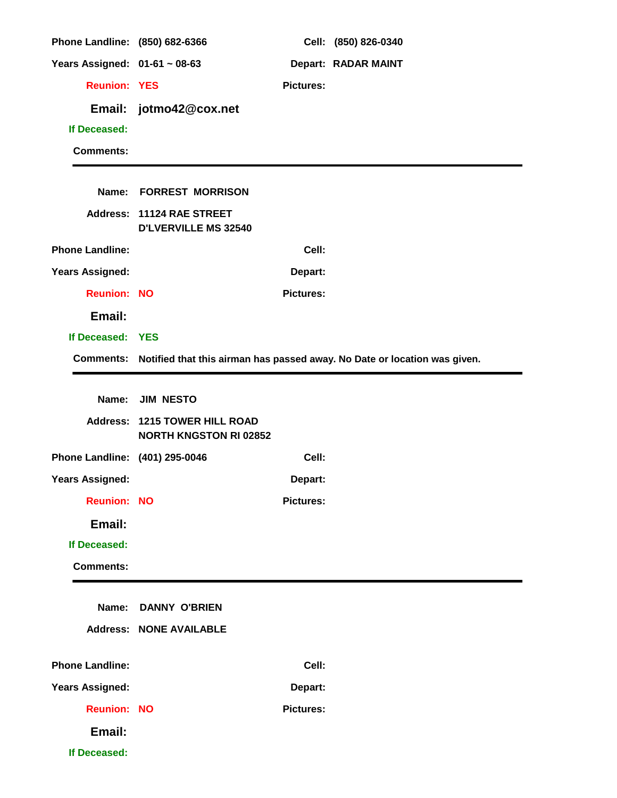| Phone Landline: (850) 682-6366 |                                                                       |                  | Cell: (850) 826-0340                                                                |
|--------------------------------|-----------------------------------------------------------------------|------------------|-------------------------------------------------------------------------------------|
| Years Assigned: 01-61 ~ 08-63  |                                                                       |                  | <b>Depart: RADAR MAINT</b>                                                          |
| <b>Reunion: YES</b>            |                                                                       | <b>Pictures:</b> |                                                                                     |
|                                | Email: jotmo42@cox.net                                                |                  |                                                                                     |
| If Deceased:                   |                                                                       |                  |                                                                                     |
| <b>Comments:</b>               |                                                                       |                  |                                                                                     |
|                                |                                                                       |                  |                                                                                     |
|                                | Name: FORREST MORRISON                                                |                  |                                                                                     |
|                                | Address: 11124 RAE STREET<br><b>D'LVERVILLE MS 32540</b>              |                  |                                                                                     |
| <b>Phone Landline:</b>         |                                                                       | Cell:            |                                                                                     |
| <b>Years Assigned:</b>         |                                                                       | Depart:          |                                                                                     |
| <b>Reunion: NO</b>             |                                                                       | <b>Pictures:</b> |                                                                                     |
| Email:                         |                                                                       |                  |                                                                                     |
| If Deceased: YES               |                                                                       |                  |                                                                                     |
|                                |                                                                       |                  | Comments: Notified that this airman has passed away. No Date or location was given. |
|                                |                                                                       |                  |                                                                                     |
|                                | Name: JIM NESTO                                                       |                  |                                                                                     |
|                                | <b>Address: 1215 TOWER HILL ROAD</b><br><b>NORTH KNGSTON RI 02852</b> |                  |                                                                                     |
| Phone Landline: (401) 295-0046 |                                                                       | Cell:            |                                                                                     |
| <b>Years Assigned:</b>         |                                                                       | Depart:          |                                                                                     |
| <b>Reunion: NO</b>             |                                                                       | <b>Pictures:</b> |                                                                                     |
| Email:                         |                                                                       |                  |                                                                                     |
| If Deceased:                   |                                                                       |                  |                                                                                     |
| <b>Comments:</b>               |                                                                       |                  |                                                                                     |
|                                |                                                                       |                  |                                                                                     |
| Name:                          | <b>DANNY O'BRIEN</b>                                                  |                  |                                                                                     |
|                                | <b>Address: NONE AVAILABLE</b>                                        |                  |                                                                                     |
| <b>Phone Landline:</b>         |                                                                       | Cell:            |                                                                                     |
| <b>Years Assigned:</b>         |                                                                       | Depart:          |                                                                                     |
| <b>Reunion: NO</b>             |                                                                       | <b>Pictures:</b> |                                                                                     |
| Email:                         |                                                                       |                  |                                                                                     |
| If Deceased:                   |                                                                       |                  |                                                                                     |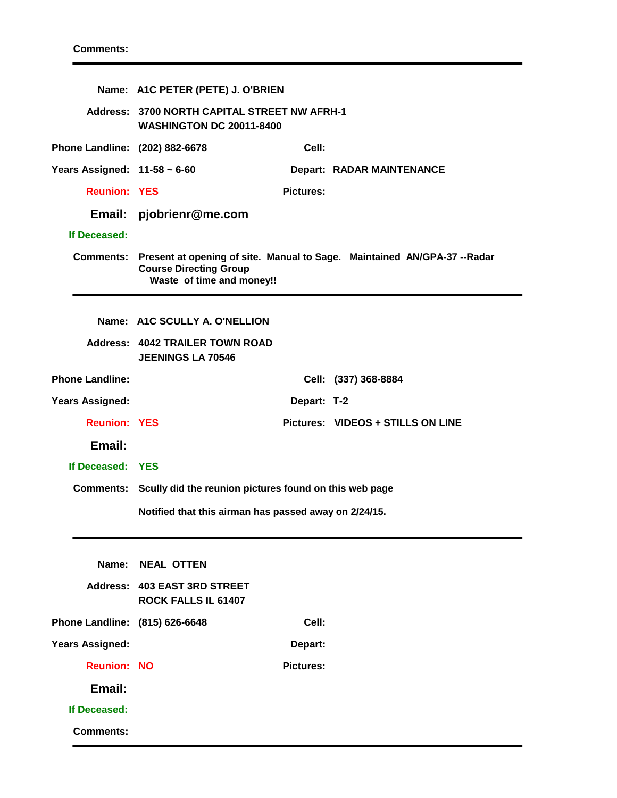|                                   | Name: A1C PETER (PETE) J. O'BRIEN                                               |                  |                                                                                    |
|-----------------------------------|---------------------------------------------------------------------------------|------------------|------------------------------------------------------------------------------------|
|                                   | Address: 3700 NORTH CAPITAL STREET NW AFRH-1<br><b>WASHINGTON DC 20011-8400</b> |                  |                                                                                    |
| Phone Landline: (202) 882-6678    |                                                                                 | Cell:            |                                                                                    |
| Years Assigned: $11-58 \sim 6-60$ |                                                                                 |                  | <b>Depart: RADAR MAINTENANCE</b>                                                   |
| <b>Reunion: YES</b>               |                                                                                 | <b>Pictures:</b> |                                                                                    |
|                                   | Email: pjobrienr@me.com                                                         |                  |                                                                                    |
| If Deceased:                      |                                                                                 |                  |                                                                                    |
|                                   | <b>Course Directing Group</b><br>Waste of time and money!!                      |                  | Comments: Present at opening of site. Manual to Sage. Maintained AN/GPA-37 --Radar |
|                                   | Name: A1C SCULLY A. O'NELLION                                                   |                  |                                                                                    |
|                                   | Address: 4042 TRAILER TOWN ROAD<br><b>JEENINGS LA 70546</b>                     |                  |                                                                                    |
| <b>Phone Landline:</b>            |                                                                                 |                  | Cell: (337) 368-8884                                                               |
| <b>Years Assigned:</b>            |                                                                                 | Depart: T-2      |                                                                                    |
| <b>Reunion: YES</b>               |                                                                                 |                  | Pictures: VIDEOS + STILLS ON LINE                                                  |
| Email:                            |                                                                                 |                  |                                                                                    |
| If Deceased: YES                  |                                                                                 |                  |                                                                                    |
|                                   | Comments: Scully did the reunion pictures found on this web page                |                  |                                                                                    |
|                                   | Notified that this airman has passed away on 2/24/15.                           |                  |                                                                                    |
| Name:                             | <b>NEAL OTTEN</b>                                                               |                  |                                                                                    |
|                                   | Address: 403 EAST 3RD STREET<br>ROCK FALLS IL 61407                             |                  |                                                                                    |
| Phone Landline: (815) 626-6648    |                                                                                 | Cell:            |                                                                                    |
| <b>Years Assigned:</b>            |                                                                                 | Depart:          |                                                                                    |
| <b>Reunion: NO</b>                |                                                                                 | <b>Pictures:</b> |                                                                                    |
| Email:                            |                                                                                 |                  |                                                                                    |
| If Deceased:                      |                                                                                 |                  |                                                                                    |
| <b>Comments:</b>                  |                                                                                 |                  |                                                                                    |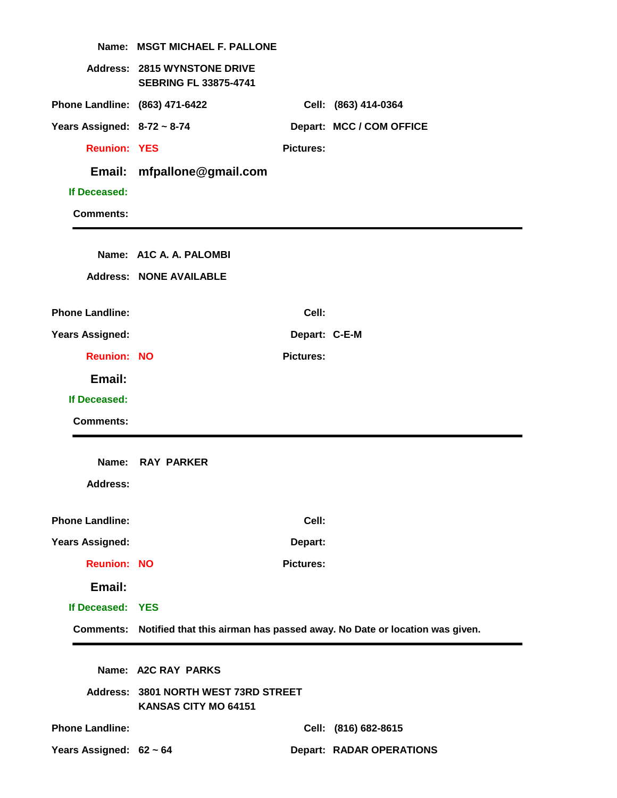|                                  | Name: MSGT MICHAEL F. PALLONE                                       |                  |                                                                                     |
|----------------------------------|---------------------------------------------------------------------|------------------|-------------------------------------------------------------------------------------|
|                                  | <b>Address: 2815 WYNSTONE DRIVE</b><br><b>SEBRING FL 33875-4741</b> |                  |                                                                                     |
| Phone Landline: (863) 471-6422   |                                                                     |                  | Cell: (863) 414-0364                                                                |
| Years Assigned: $8-72 \sim 8-74$ |                                                                     |                  | Depart: MCC / COM OFFICE                                                            |
| <b>Reunion: YES</b>              |                                                                     | <b>Pictures:</b> |                                                                                     |
|                                  | Email: mfpallone@gmail.com                                          |                  |                                                                                     |
| If Deceased:                     |                                                                     |                  |                                                                                     |
| <b>Comments:</b>                 |                                                                     |                  |                                                                                     |
|                                  |                                                                     |                  |                                                                                     |
|                                  | Name: A1C A. A. PALOMBI                                             |                  |                                                                                     |
|                                  | <b>Address: NONE AVAILABLE</b>                                      |                  |                                                                                     |
| <b>Phone Landline:</b>           |                                                                     | Cell:            |                                                                                     |
| <b>Years Assigned:</b>           |                                                                     | Depart: C-E-M    |                                                                                     |
| <b>Reunion: NO</b>               |                                                                     | <b>Pictures:</b> |                                                                                     |
| Email:                           |                                                                     |                  |                                                                                     |
| If Deceased:                     |                                                                     |                  |                                                                                     |
| <b>Comments:</b>                 |                                                                     |                  |                                                                                     |
|                                  |                                                                     |                  |                                                                                     |
|                                  | Name: RAY PARKER                                                    |                  |                                                                                     |
| <b>Address:</b>                  |                                                                     |                  |                                                                                     |
|                                  |                                                                     |                  |                                                                                     |
| <b>Phone Landline:</b>           |                                                                     | Cell:            |                                                                                     |
| <b>Years Assigned:</b>           |                                                                     | Depart:          |                                                                                     |
| <b>Reunion: NO</b>               |                                                                     | <b>Pictures:</b> |                                                                                     |
| Email:                           |                                                                     |                  |                                                                                     |
| If Deceased: YES                 |                                                                     |                  |                                                                                     |
|                                  |                                                                     |                  | Comments: Notified that this airman has passed away. No Date or location was given. |
|                                  |                                                                     |                  |                                                                                     |
|                                  | Name: A2C RAY PARKS                                                 |                  |                                                                                     |
|                                  | Address: 3801 NORTH WEST 73RD STREET<br>KANSAS CITY MO 64151        |                  |                                                                                     |
| <b>Phone Landline:</b>           |                                                                     |                  | Cell: (816) 682-8615                                                                |
| Years Assigned: 62 ~ 64          |                                                                     |                  | <b>Depart: RADAR OPERATIONS</b>                                                     |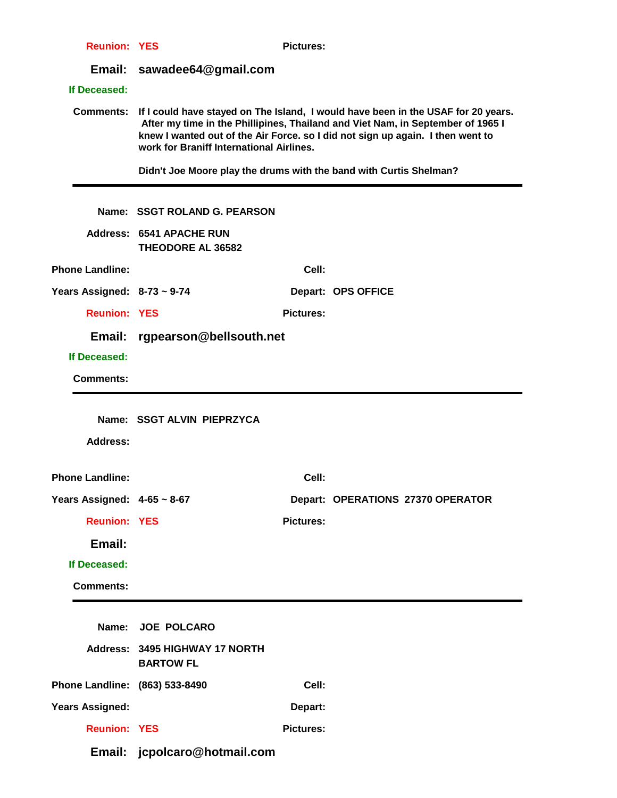| <b>Reunion: YES</b>              |                                                                                                                                                                                                                                                                                                    | <b>Pictures:</b> |                                   |  |  |
|----------------------------------|----------------------------------------------------------------------------------------------------------------------------------------------------------------------------------------------------------------------------------------------------------------------------------------------------|------------------|-----------------------------------|--|--|
| Email:                           | sawadee64@gmail.com                                                                                                                                                                                                                                                                                |                  |                                   |  |  |
| If Deceased:                     |                                                                                                                                                                                                                                                                                                    |                  |                                   |  |  |
| <b>Comments:</b>                 | If I could have stayed on The Island, I would have been in the USAF for 20 years.<br>After my time in the Phillipines, Thailand and Viet Nam, in September of 1965 I<br>knew I wanted out of the Air Force. so I did not sign up again. I then went to<br>work for Braniff International Airlines. |                  |                                   |  |  |
|                                  | Didn't Joe Moore play the drums with the band with Curtis Shelman?                                                                                                                                                                                                                                 |                  |                                   |  |  |
|                                  | Name: SSGT ROLAND G. PEARSON                                                                                                                                                                                                                                                                       |                  |                                   |  |  |
|                                  | <b>Address: 6541 APACHE RUN</b><br><b>THEODORE AL 36582</b>                                                                                                                                                                                                                                        |                  |                                   |  |  |
| <b>Phone Landline:</b>           |                                                                                                                                                                                                                                                                                                    | Cell:            |                                   |  |  |
| Years Assigned: $8-73 \sim 9-74$ |                                                                                                                                                                                                                                                                                                    |                  | Depart: OPS OFFICE                |  |  |
| <b>Reunion: YES</b>              |                                                                                                                                                                                                                                                                                                    | <b>Pictures:</b> |                                   |  |  |
| Email:                           | rgpearson@bellsouth.net                                                                                                                                                                                                                                                                            |                  |                                   |  |  |
| If Deceased:                     |                                                                                                                                                                                                                                                                                                    |                  |                                   |  |  |
| <b>Comments:</b>                 |                                                                                                                                                                                                                                                                                                    |                  |                                   |  |  |
|                                  |                                                                                                                                                                                                                                                                                                    |                  |                                   |  |  |
|                                  | Name: SSGT ALVIN PIEPRZYCA                                                                                                                                                                                                                                                                         |                  |                                   |  |  |
| <b>Address:</b>                  |                                                                                                                                                                                                                                                                                                    |                  |                                   |  |  |
|                                  |                                                                                                                                                                                                                                                                                                    |                  |                                   |  |  |
| <b>Phone Landline:</b>           |                                                                                                                                                                                                                                                                                                    | Cell:            |                                   |  |  |
| Years Assigned: $4-65 \sim 8-67$ |                                                                                                                                                                                                                                                                                                    |                  | Depart: OPERATIONS 27370 OPERATOR |  |  |
| <b>Reunion: YES</b>              |                                                                                                                                                                                                                                                                                                    | <b>Pictures:</b> |                                   |  |  |
| Email:                           |                                                                                                                                                                                                                                                                                                    |                  |                                   |  |  |
| If Deceased:                     |                                                                                                                                                                                                                                                                                                    |                  |                                   |  |  |
| <b>Comments:</b>                 |                                                                                                                                                                                                                                                                                                    |                  |                                   |  |  |
|                                  |                                                                                                                                                                                                                                                                                                    |                  |                                   |  |  |
|                                  | Name: JOE POLCARO                                                                                                                                                                                                                                                                                  |                  |                                   |  |  |
|                                  | Address: 3495 HIGHWAY 17 NORTH<br><b>BARTOW FL</b>                                                                                                                                                                                                                                                 |                  |                                   |  |  |
| Phone Landline: (863) 533-8490   |                                                                                                                                                                                                                                                                                                    | Cell:            |                                   |  |  |
|                                  |                                                                                                                                                                                                                                                                                                    |                  |                                   |  |  |
| <b>Years Assigned:</b>           |                                                                                                                                                                                                                                                                                                    | Depart:          |                                   |  |  |
| <b>Reunion: YES</b>              |                                                                                                                                                                                                                                                                                                    | <b>Pictures:</b> |                                   |  |  |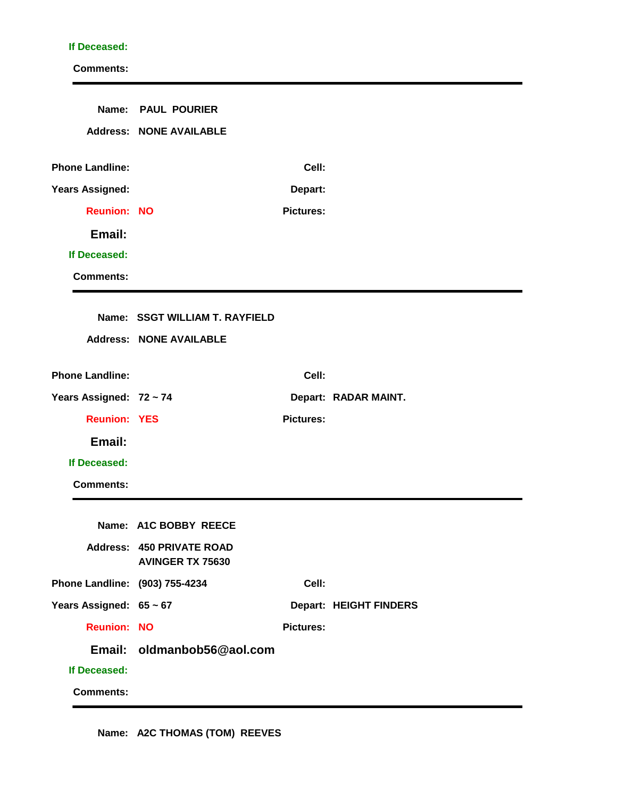#### **If Deceased:**

|                                | Name: PAUL POURIER<br><b>Address: NONE AVAILABLE</b> |                  |                               |
|--------------------------------|------------------------------------------------------|------------------|-------------------------------|
|                                |                                                      |                  |                               |
| <b>Phone Landline:</b>         |                                                      | Cell:            |                               |
| Years Assigned:                |                                                      | Depart:          |                               |
| <b>Reunion: NO</b>             |                                                      | <b>Pictures:</b> |                               |
| Email:                         |                                                      |                  |                               |
| If Deceased:                   |                                                      |                  |                               |
| <b>Comments:</b>               |                                                      |                  |                               |
|                                |                                                      |                  |                               |
|                                | Name: SSGT WILLIAM T. RAYFIELD                       |                  |                               |
|                                | <b>Address: NONE AVAILABLE</b>                       |                  |                               |
| <b>Phone Landline:</b>         |                                                      | Cell:            |                               |
| Years Assigned: 72 ~ 74        |                                                      |                  | Depart: RADAR MAINT.          |
| <b>Reunion: YES</b>            |                                                      | <b>Pictures:</b> |                               |
| Email:                         |                                                      |                  |                               |
| If Deceased:                   |                                                      |                  |                               |
| <b>Comments:</b>               |                                                      |                  |                               |
|                                | Name: A1C BOBBY REECE                                |                  |                               |
|                                | <b>Address: 450 PRIVATE ROAD</b>                     |                  |                               |
|                                | <b>AVINGER TX 75630</b>                              |                  |                               |
| Phone Landline: (903) 755-4234 |                                                      | Cell:            |                               |
| Years Assigned: 65 ~ 67        |                                                      |                  | <b>Depart: HEIGHT FINDERS</b> |
| <b>Reunion: NO</b>             |                                                      | <b>Pictures:</b> |                               |
|                                | Email: oldmanbob56@aol.com                           |                  |                               |
| If Deceased:                   |                                                      |                  |                               |
| <b>Comments:</b>               |                                                      |                  |                               |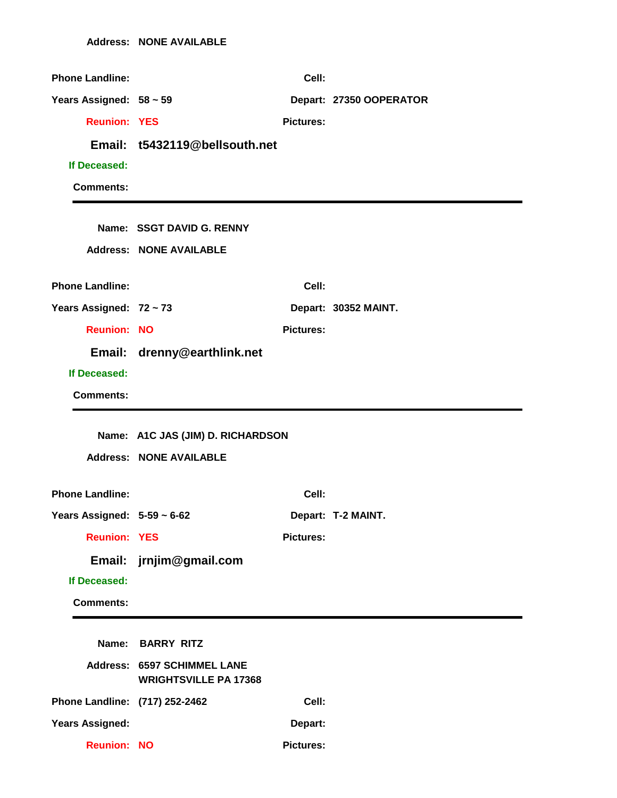| <b>Phone Landline:</b>           |                                                                    | Cell:            |                         |
|----------------------------------|--------------------------------------------------------------------|------------------|-------------------------|
| Years Assigned: $58 \sim 59$     |                                                                    |                  | Depart: 27350 OOPERATOR |
| <b>Reunion: YES</b>              |                                                                    | <b>Pictures:</b> |                         |
|                                  | Email: t5432119@bellsouth.net                                      |                  |                         |
| If Deceased:                     |                                                                    |                  |                         |
| <b>Comments:</b>                 |                                                                    |                  |                         |
|                                  |                                                                    |                  |                         |
|                                  | Name: SSGT DAVID G. RENNY                                          |                  |                         |
|                                  | <b>Address: NONE AVAILABLE</b>                                     |                  |                         |
| <b>Phone Landline:</b>           |                                                                    | Cell:            |                         |
| Years Assigned: 72 ~ 73          |                                                                    |                  | Depart: 30352 MAINT.    |
| <b>Reunion: NO</b>               |                                                                    | <b>Pictures:</b> |                         |
|                                  | Email: drenny@earthlink.net                                        |                  |                         |
| If Deceased:                     |                                                                    |                  |                         |
| <b>Comments:</b>                 |                                                                    |                  |                         |
|                                  |                                                                    |                  |                         |
|                                  |                                                                    |                  |                         |
|                                  | Name: A1C JAS (JIM) D. RICHARDSON                                  |                  |                         |
|                                  | <b>Address: NONE AVAILABLE</b>                                     |                  |                         |
| <b>Phone Landline:</b>           |                                                                    | Cell:            |                         |
| Years Assigned: $5-59 \sim 6-62$ |                                                                    |                  | Depart: T-2 MAINT.      |
| <b>Reunion: YES</b>              |                                                                    | <b>Pictures:</b> |                         |
| Email:                           | jrnjim@gmail.com                                                   |                  |                         |
| If Deceased:                     |                                                                    |                  |                         |
| <b>Comments:</b>                 |                                                                    |                  |                         |
|                                  |                                                                    |                  |                         |
|                                  | Name: BARRY RITZ                                                   |                  |                         |
|                                  | <b>Address: 6597 SCHIMMEL LANE</b><br><b>WRIGHTSVILLE PA 17368</b> |                  |                         |
| Phone Landline: (717) 252-2462   |                                                                    | Cell:            |                         |
| <b>Years Assigned:</b>           |                                                                    | Depart:          |                         |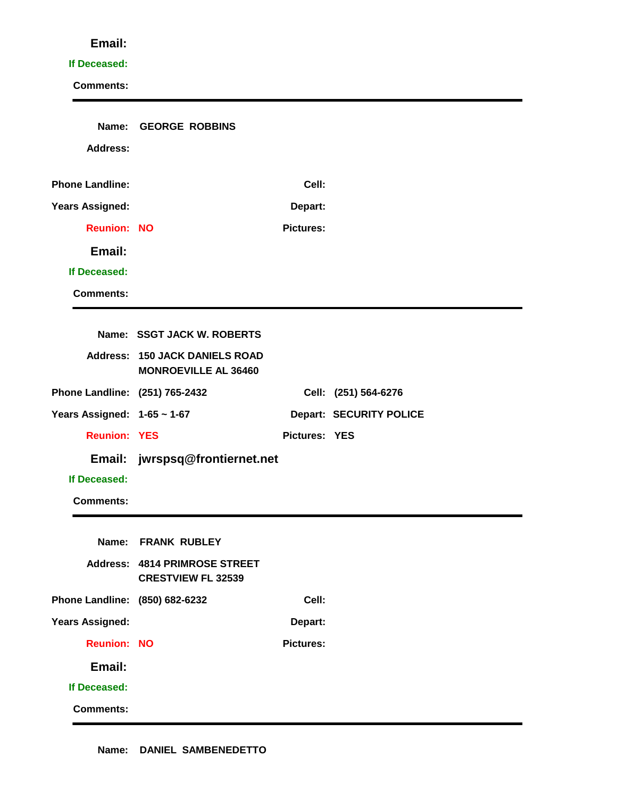#### **If Deceased:**

| Name:                          | <b>GEORGE ROBBINS</b>                                                |                  |                                |
|--------------------------------|----------------------------------------------------------------------|------------------|--------------------------------|
| <b>Address:</b>                |                                                                      |                  |                                |
|                                |                                                                      |                  |                                |
| <b>Phone Landline:</b>         |                                                                      | Cell:            |                                |
| <b>Years Assigned:</b>         |                                                                      | Depart:          |                                |
| <b>Reunion: NO</b>             |                                                                      | <b>Pictures:</b> |                                |
| Email:                         |                                                                      |                  |                                |
| If Deceased:                   |                                                                      |                  |                                |
| <b>Comments:</b>               |                                                                      |                  |                                |
|                                |                                                                      |                  |                                |
|                                | Name: SSGT JACK W. ROBERTS                                           |                  |                                |
|                                | <b>Address: 150 JACK DANIELS ROAD</b><br><b>MONROEVILLE AL 36460</b> |                  |                                |
| Phone Landline: (251) 765-2432 |                                                                      |                  | Cell: (251) 564-6276           |
| Years Assigned: 1-65 ~ 1-67    |                                                                      |                  | <b>Depart: SECURITY POLICE</b> |
| <b>Reunion: YES</b>            |                                                                      | Pictures: YES    |                                |
|                                | Email: jwrspsq@frontiernet.net                                       |                  |                                |
| If Deceased:                   |                                                                      |                  |                                |
| <b>Comments:</b>               |                                                                      |                  |                                |
|                                |                                                                      |                  |                                |
|                                | Name: FRANK RUBLEY                                                   |                  |                                |
|                                | <b>Address: 4814 PRIMROSE STREET</b><br><b>CRESTVIEW FL 32539</b>    |                  |                                |
| Phone Landline: (850) 682-6232 |                                                                      | Cell:            |                                |
| <b>Years Assigned:</b>         |                                                                      | Depart:          |                                |
| <b>Reunion: NO</b>             |                                                                      | <b>Pictures:</b> |                                |
| Email:                         |                                                                      |                  |                                |
| If Deceased:                   |                                                                      |                  |                                |
| <b>Comments:</b>               |                                                                      |                  |                                |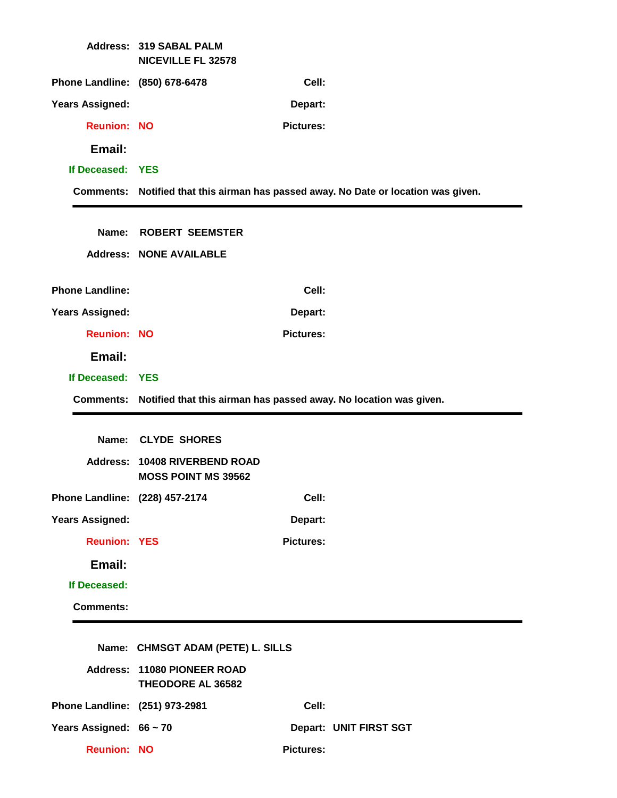|                                | <b>Address: 319 SABAL PALM</b><br><b>NICEVILLE FL 32578</b>                 |                  |                                                                                     |
|--------------------------------|-----------------------------------------------------------------------------|------------------|-------------------------------------------------------------------------------------|
| Phone Landline: (850) 678-6478 |                                                                             | Cell:            |                                                                                     |
| <b>Years Assigned:</b>         |                                                                             | Depart:          |                                                                                     |
| <b>Reunion: NO</b>             |                                                                             | <b>Pictures:</b> |                                                                                     |
| Email:                         |                                                                             |                  |                                                                                     |
| If Deceased: YES               |                                                                             |                  |                                                                                     |
|                                |                                                                             |                  | Comments: Notified that this airman has passed away. No Date or location was given. |
|                                |                                                                             |                  |                                                                                     |
|                                | Name: ROBERT SEEMSTER                                                       |                  |                                                                                     |
|                                | <b>Address: NONE AVAILABLE</b>                                              |                  |                                                                                     |
| <b>Phone Landline:</b>         |                                                                             | Cell:            |                                                                                     |
| <b>Years Assigned:</b>         |                                                                             | Depart:          |                                                                                     |
| <b>Reunion: NO</b>             |                                                                             | <b>Pictures:</b> |                                                                                     |
| Email:                         |                                                                             |                  |                                                                                     |
| If Deceased: YES               |                                                                             |                  |                                                                                     |
|                                | Comments: Notified that this airman has passed away. No location was given. |                  |                                                                                     |
|                                |                                                                             |                  |                                                                                     |
|                                | Name: CLYDE SHORES                                                          |                  |                                                                                     |
|                                | Address: 10408 RIVERBEND ROAD<br><b>MOSS POINT MS 39562</b>                 |                  |                                                                                     |
| Phone Landline: (228) 457-2174 |                                                                             | Cell:            |                                                                                     |
| <b>Years Assigned:</b>         |                                                                             | Depart:          |                                                                                     |
| <b>Reunion: YES</b>            |                                                                             | <b>Pictures:</b> |                                                                                     |
| Email:                         |                                                                             |                  |                                                                                     |
| If Deceased:                   |                                                                             |                  |                                                                                     |
| <b>Comments:</b>               |                                                                             |                  |                                                                                     |
|                                |                                                                             |                  |                                                                                     |
|                                | Name: CHMSGT ADAM (PETE) L. SILLS                                           |                  |                                                                                     |
|                                | Address: 11080 PIONEER ROAD<br>THEODORE AL 36582                            |                  |                                                                                     |
| Phone Landline: (251) 973-2981 |                                                                             | Cell:            |                                                                                     |
| Years Assigned: 66 ~ 70        |                                                                             |                  | Depart: UNIT FIRST SGT                                                              |
|                                |                                                                             |                  |                                                                                     |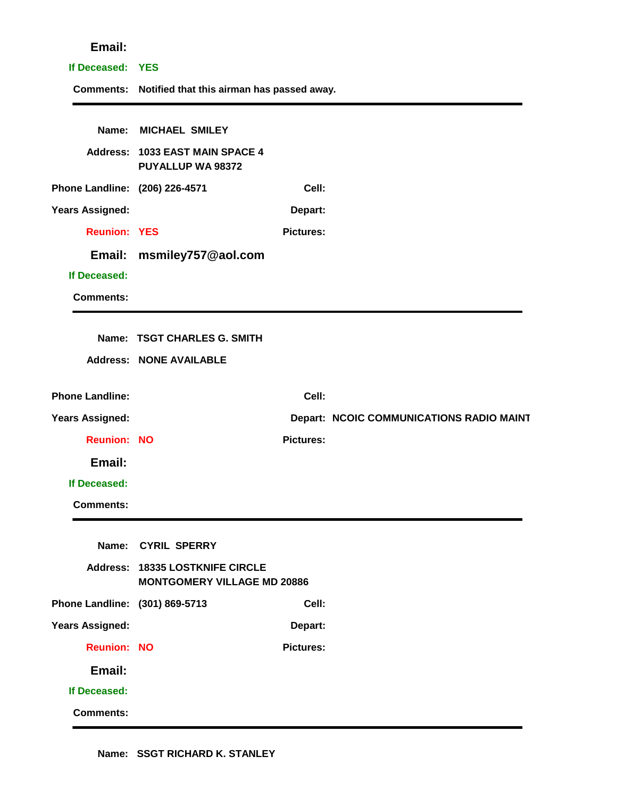# **If Deceased: YES Comments: Notified that this airman has passed away. Name: MICHAEL SMILEY Address: 1033 EAST MAIN SPACE 4 PUYALLUP WA 98372 Phone Landline: (206) 226-4571 Cell: Years Assigned: Depart: Reunion: YES Pictures: Email: msmiley757@aol.com If Deceased: Comments: Name: TSGT CHARLES G. SMITH Address: NONE AVAILABLE Phone Landline: Cell: Years Assigned: Depart: NCOIC COMMUNICATIONS RADIO MAINT. Reunion: NO Pictures: Email: If Deceased: Comments: Name: CYRIL SPERRY Address: 18335 LOSTKNIFE CIRCLE MONTGOMERY VILLAGE MD 20886 Phone Landline: (301) 869-5713 Cell: Years Assigned: Depart: Reunion: NO Pictures: Email: If Deceased: Comments:**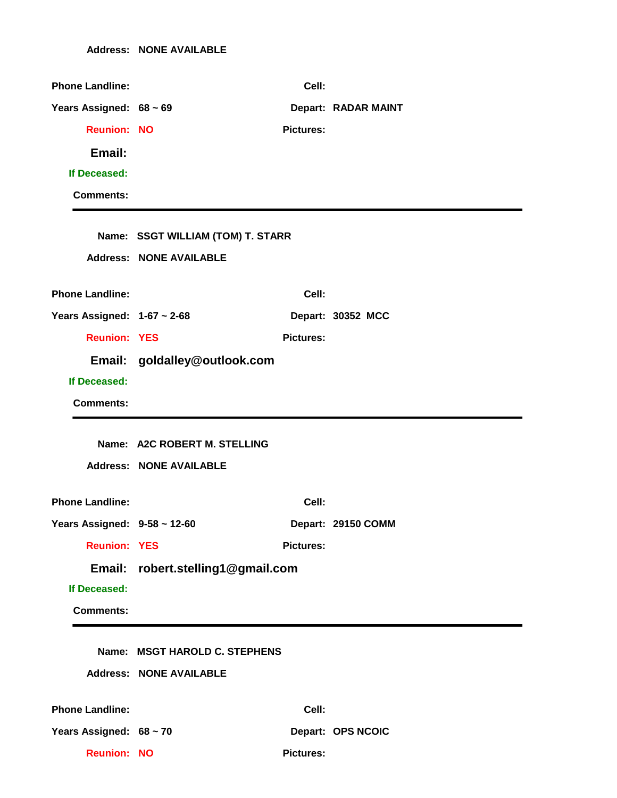| <b>Phone Landline:</b>            |                                   | Cell:            |                     |
|-----------------------------------|-----------------------------------|------------------|---------------------|
| Years Assigned: 68 ~ 69           |                                   |                  | Depart: RADAR MAINT |
| <b>Reunion: NO</b>                |                                   | <b>Pictures:</b> |                     |
| Email:                            |                                   |                  |                     |
| If Deceased:                      |                                   |                  |                     |
| <b>Comments:</b>                  |                                   |                  |                     |
|                                   |                                   |                  |                     |
|                                   | Name: SSGT WILLIAM (TOM) T. STARR |                  |                     |
|                                   | <b>Address: NONE AVAILABLE</b>    |                  |                     |
| <b>Phone Landline:</b>            |                                   | Cell:            |                     |
| Years Assigned: $1-67 \sim 2-68$  |                                   |                  | Depart: 30352 MCC   |
| <b>Reunion: YES</b>               |                                   | <b>Pictures:</b> |                     |
|                                   | Email: goldalley@outlook.com      |                  |                     |
| If Deceased:                      |                                   |                  |                     |
| <b>Comments:</b>                  |                                   |                  |                     |
|                                   |                                   |                  |                     |
|                                   |                                   |                  |                     |
|                                   | Name: A2C ROBERT M. STELLING      |                  |                     |
|                                   | <b>Address: NONE AVAILABLE</b>    |                  |                     |
| <b>Phone Landline:</b>            |                                   | Cell:            |                     |
| Years Assigned: $9-58 \sim 12-60$ |                                   |                  | Depart: 29150 COMM  |
| <b>Reunion: YES</b>               |                                   | <b>Pictures:</b> |                     |
|                                   | Email: robert.stelling1@gmail.com |                  |                     |
| If Deceased:                      |                                   |                  |                     |
| <b>Comments:</b>                  |                                   |                  |                     |
|                                   |                                   |                  |                     |
|                                   | Name: MSGT HAROLD C. STEPHENS     |                  |                     |
|                                   | <b>Address: NONE AVAILABLE</b>    |                  |                     |
| <b>Phone Landline:</b>            |                                   | Cell:            |                     |
| Years Assigned: 68 ~ 70           |                                   |                  | Depart: OPS NCOIC   |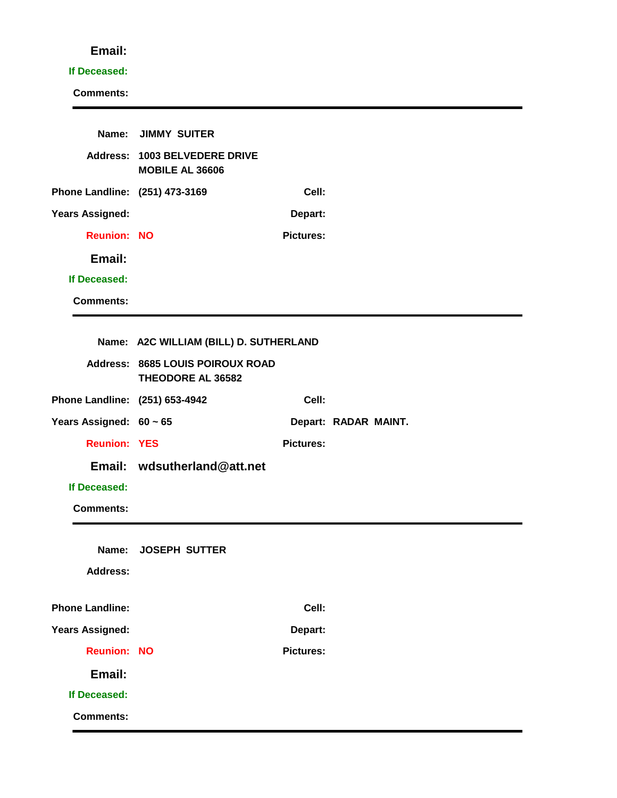#### **If Deceased:**

|                                | Name: JIMMY SUITER                                      |                  |                      |
|--------------------------------|---------------------------------------------------------|------------------|----------------------|
|                                | Address: 1003 BELVEDERE DRIVE<br><b>MOBILE AL 36606</b> |                  |                      |
| Phone Landline: (251) 473-3169 |                                                         | Cell:            |                      |
| <b>Years Assigned:</b>         |                                                         | Depart:          |                      |
| <b>Reunion: NO</b>             |                                                         | <b>Pictures:</b> |                      |
| Email:                         |                                                         |                  |                      |
| If Deceased:                   |                                                         |                  |                      |
| <b>Comments:</b>               |                                                         |                  |                      |
|                                |                                                         |                  |                      |
|                                | Name: A2C WILLIAM (BILL) D. SUTHERLAND                  |                  |                      |
|                                | Address: 8685 LOUIS POIROUX ROAD<br>THEODORE AL 36582   |                  |                      |
| Phone Landline: (251) 653-4942 |                                                         | Cell:            |                      |
| Years Assigned: $60 \sim 65$   |                                                         |                  | Depart: RADAR MAINT. |
| <b>Reunion: YES</b>            |                                                         | <b>Pictures:</b> |                      |
|                                | Email: wdsutherland@att.net                             |                  |                      |
| If Deceased:                   |                                                         |                  |                      |
| <b>Comments:</b>               |                                                         |                  |                      |
| Name:<br><b>Address:</b>       | <b>JOSEPH SUTTER</b>                                    |                  |                      |
|                                |                                                         |                  |                      |
| <b>Phone Landline:</b>         |                                                         | Cell:            |                      |
| <b>Years Assigned:</b>         |                                                         | Depart:          |                      |
| <b>Reunion: NO</b>             |                                                         | <b>Pictures:</b> |                      |
| Email:                         |                                                         |                  |                      |
| If Deceased:                   |                                                         |                  |                      |
| <b>Comments:</b>               |                                                         |                  |                      |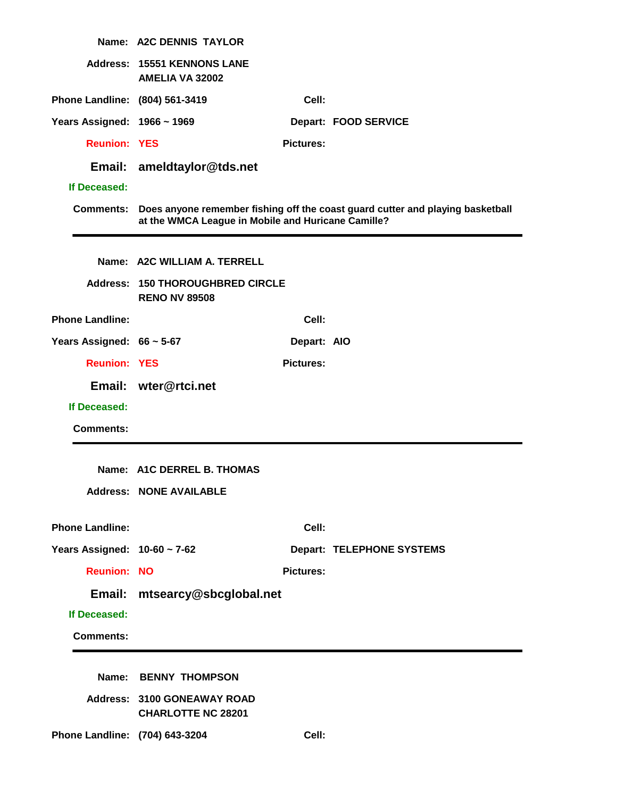|                                | Name: A2C DENNIS TAYLOR                                         |                  |                                                                                |
|--------------------------------|-----------------------------------------------------------------|------------------|--------------------------------------------------------------------------------|
|                                | Address: 15551 KENNONS LANE<br><b>AMELIA VA 32002</b>           |                  |                                                                                |
| Phone Landline: (804) 561-3419 |                                                                 | Cell:            |                                                                                |
| Years Assigned: 1966 ~ 1969    |                                                                 |                  | Depart: FOOD SERVICE                                                           |
| <b>Reunion: YES</b>            |                                                                 | <b>Pictures:</b> |                                                                                |
|                                | Email: ameldtaylor@tds.net                                      |                  |                                                                                |
| If Deceased:                   |                                                                 |                  |                                                                                |
| <b>Comments:</b>               | at the WMCA League in Mobile and Huricane Camille?              |                  | Does anyone remember fishing off the coast guard cutter and playing basketball |
|                                | Name: A2C WILLIAM A. TERRELL                                    |                  |                                                                                |
|                                | <b>Address: 150 THOROUGHBRED CIRCLE</b><br><b>RENO NV 89508</b> |                  |                                                                                |
| <b>Phone Landline:</b>         |                                                                 | Cell:            |                                                                                |
| Years Assigned: $66 \sim 5-67$ |                                                                 | Depart: AIO      |                                                                                |
| <b>Reunion: YES</b>            |                                                                 | <b>Pictures:</b> |                                                                                |
|                                | Email: wter@rtci.net                                            |                  |                                                                                |
| If Deceased:                   |                                                                 |                  |                                                                                |
| <b>Comments:</b>               |                                                                 |                  |                                                                                |
|                                | Name: A1C DERREL B. THOMAS                                      |                  |                                                                                |
|                                | <b>Address: NONE AVAILABLE</b>                                  |                  |                                                                                |
| <b>Phone Landline:</b>         |                                                                 | Cell:            |                                                                                |
| Years Assigned: 10-60 ~ 7-62   |                                                                 |                  | <b>Depart: TELEPHONE SYSTEMS</b>                                               |
| <b>Reunion: NO</b>             |                                                                 | <b>Pictures:</b> |                                                                                |
| Email:                         | mtsearcy@sbcglobal.net                                          |                  |                                                                                |
| If Deceased:                   |                                                                 |                  |                                                                                |
| <b>Comments:</b>               |                                                                 |                  |                                                                                |
| Name:                          | <b>BENNY THOMPSON</b>                                           |                  |                                                                                |
|                                | Address: 3100 GONEAWAY ROAD<br><b>CHARLOTTE NC 28201</b>        |                  |                                                                                |
| Phone Landline: (704) 643-3204 |                                                                 | Cell:            |                                                                                |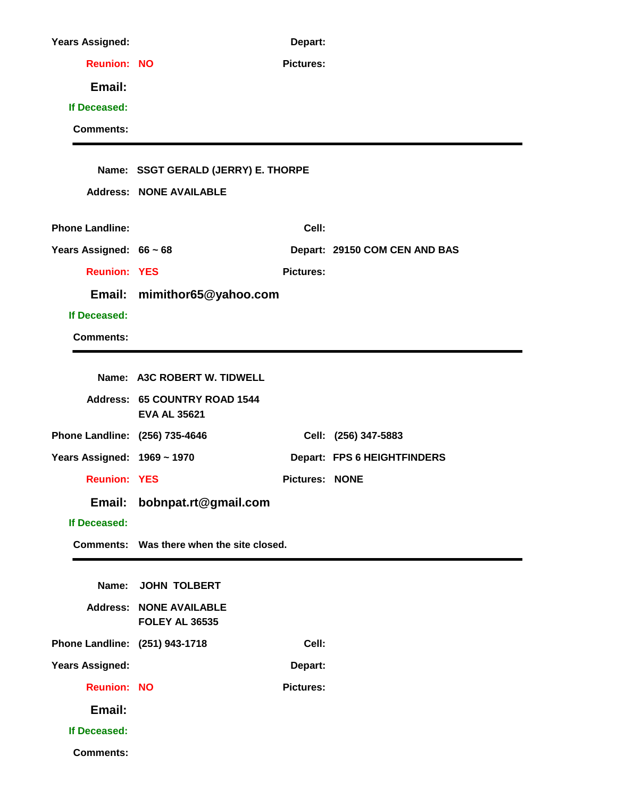| <b>Years Assigned:</b>         |                                                         | Depart:               |                               |
|--------------------------------|---------------------------------------------------------|-----------------------|-------------------------------|
| <b>Reunion: NO</b>             |                                                         | <b>Pictures:</b>      |                               |
| Email:                         |                                                         |                       |                               |
| If Deceased:                   |                                                         |                       |                               |
| <b>Comments:</b>               |                                                         |                       |                               |
|                                |                                                         |                       |                               |
|                                | Name: SSGT GERALD (JERRY) E. THORPE                     |                       |                               |
|                                | <b>Address: NONE AVAILABLE</b>                          |                       |                               |
| <b>Phone Landline:</b>         |                                                         | Cell:                 |                               |
| Years Assigned: 66 ~ 68        |                                                         |                       | Depart: 29150 COM CEN AND BAS |
| <b>Reunion: YES</b>            |                                                         | <b>Pictures:</b>      |                               |
|                                | Email: mimithor65@yahoo.com                             |                       |                               |
| If Deceased:                   |                                                         |                       |                               |
| <b>Comments:</b>               |                                                         |                       |                               |
|                                |                                                         |                       |                               |
|                                | Name: A3C ROBERT W. TIDWELL                             |                       |                               |
|                                | Address: 65 COUNTRY ROAD 1544<br><b>EVA AL 35621</b>    |                       |                               |
| Phone Landline: (256) 735-4646 |                                                         |                       | Cell: (256) 347-5883          |
| Years Assigned: 1969 ~ 1970    |                                                         |                       | Depart: FPS 6 HEIGHTFINDERS   |
| <b>Reunion: YES</b>            |                                                         | <b>Pictures: NONE</b> |                               |
| Email:                         | bobnpat.rt@gmail.com                                    |                       |                               |
| If Deceased:                   |                                                         |                       |                               |
|                                | Comments: Was there when the site closed.               |                       |                               |
|                                |                                                         |                       |                               |
| Name:                          | <b>JOHN TOLBERT</b>                                     |                       |                               |
|                                | <b>Address: NONE AVAILABLE</b><br><b>FOLEY AL 36535</b> |                       |                               |
| Phone Landline: (251) 943-1718 |                                                         | Cell:                 |                               |
| <b>Years Assigned:</b>         |                                                         | Depart:               |                               |
| <b>Reunion: NO</b>             |                                                         | <b>Pictures:</b>      |                               |
| Email:                         |                                                         |                       |                               |
| If Deceased:                   |                                                         |                       |                               |
| <b>Comments:</b>               |                                                         |                       |                               |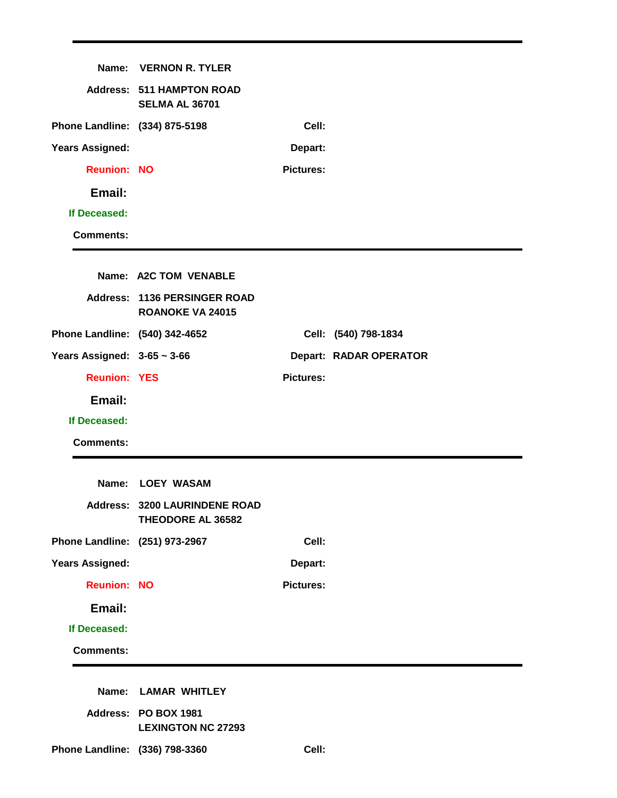| Name:                            | <b>VERNON R. TYLER</b>                                    |                  |                               |
|----------------------------------|-----------------------------------------------------------|------------------|-------------------------------|
|                                  | <b>Address: 511 HAMPTON ROAD</b><br><b>SELMA AL 36701</b> |                  |                               |
| Phone Landline: (334) 875-5198   |                                                           | Cell:            |                               |
| <b>Years Assigned:</b>           |                                                           | Depart:          |                               |
| <b>Reunion: NO</b>               |                                                           | <b>Pictures:</b> |                               |
| Email:                           |                                                           |                  |                               |
| If Deceased:                     |                                                           |                  |                               |
| <b>Comments:</b>                 |                                                           |                  |                               |
|                                  |                                                           |                  |                               |
|                                  | Name: A2C TOM VENABLE                                     |                  |                               |
|                                  | Address: 1136 PERSINGER ROAD<br><b>ROANOKE VA 24015</b>   |                  |                               |
| Phone Landline: (540) 342-4652   |                                                           |                  | Cell: (540) 798-1834          |
| Years Assigned: $3-65 \sim 3-66$ |                                                           |                  | <b>Depart: RADAR OPERATOR</b> |
| <b>Reunion: YES</b>              |                                                           | <b>Pictures:</b> |                               |
| Email:                           |                                                           |                  |                               |
| If Deceased:                     |                                                           |                  |                               |
| <b>Comments:</b>                 |                                                           |                  |                               |
|                                  |                                                           |                  |                               |
|                                  | Name: LOEY WASAM                                          |                  |                               |
|                                  | <b>Address: 3200 LAURINDENE ROAD</b><br>THEODORE AL 36582 |                  |                               |
| Phone Landline: (251) 973-2967   |                                                           | Cell:            |                               |
| <b>Years Assigned:</b>           |                                                           | Depart:          |                               |
| <b>Reunion: NO</b>               |                                                           | <b>Pictures:</b> |                               |
| Email:                           |                                                           |                  |                               |
| If Deceased:                     |                                                           |                  |                               |
| <b>Comments:</b>                 |                                                           |                  |                               |
|                                  |                                                           |                  |                               |
|                                  |                                                           |                  |                               |
|                                  | Name: LAMAR WHITLEY                                       |                  |                               |
|                                  | Address: PO BOX 1981<br><b>LEXINGTON NC 27293</b>         |                  |                               |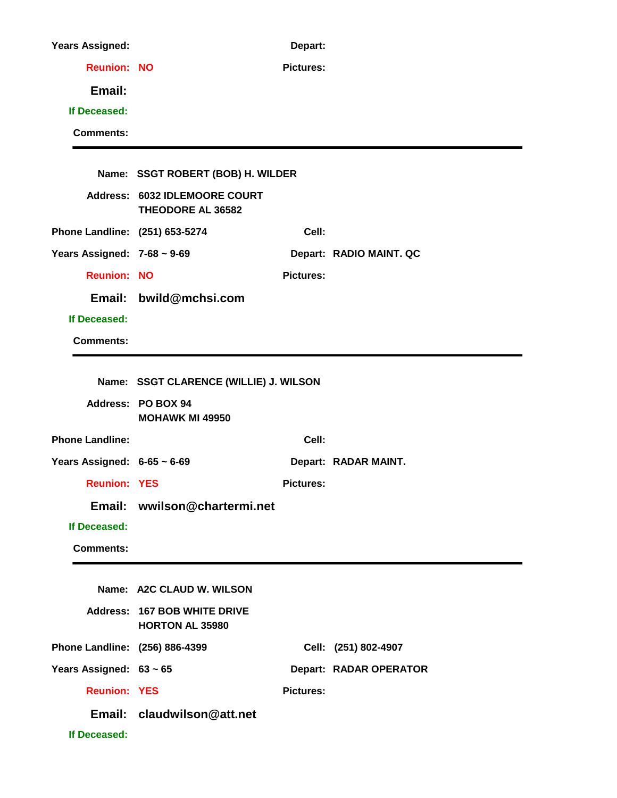| <b>Years Assigned:</b>           |                                                           | Depart:          |                         |
|----------------------------------|-----------------------------------------------------------|------------------|-------------------------|
| <b>Reunion: NO</b>               |                                                           | <b>Pictures:</b> |                         |
| Email:                           |                                                           |                  |                         |
| If Deceased:                     |                                                           |                  |                         |
| <b>Comments:</b>                 |                                                           |                  |                         |
|                                  | Name: SSGT ROBERT (BOB) H. WILDER                         |                  |                         |
|                                  | Address: 6032 IDLEMOORE COURT<br><b>THEODORE AL 36582</b> |                  |                         |
| Phone Landline: (251) 653-5274   |                                                           | Cell:            |                         |
| Years Assigned: $7-68 \sim 9-69$ |                                                           |                  | Depart: RADIO MAINT. QC |
| <b>Reunion: NO</b>               |                                                           | <b>Pictures:</b> |                         |
|                                  | Email: bwild@mchsi.com                                    |                  |                         |
| If Deceased:                     |                                                           |                  |                         |
| <b>Comments:</b>                 |                                                           |                  |                         |
|                                  | Name: SSGT CLARENCE (WILLIE) J. WILSON                    |                  |                         |
|                                  | Address: PO BOX 94<br><b>MOHAWK MI 49950</b>              |                  |                         |
| <b>Phone Landline:</b>           |                                                           | Cell:            |                         |
| Years Assigned: $6-65 \sim 6-69$ |                                                           |                  | Depart: RADAR MAINT.    |
| <b>Reunion: YES</b>              |                                                           | <b>Pictures:</b> |                         |
|                                  | Email: wwilson@chartermi.net                              |                  |                         |
| If Deceased:                     |                                                           |                  |                         |
| <b>Comments:</b>                 |                                                           |                  |                         |
|                                  | Name: A2C CLAUD W. WILSON                                 |                  |                         |
|                                  | Address: 167 BOB WHITE DRIVE<br><b>HORTON AL 35980</b>    |                  |                         |
| Phone Landline: (256) 886-4399   |                                                           |                  | Cell: (251) 802-4907    |
| Years Assigned: 63 ~ 65          |                                                           |                  | Depart: RADAR OPERATOR  |
| <b>Reunion: YES</b>              |                                                           | <b>Pictures:</b> |                         |
|                                  | Email: claudwilson@att.net                                |                  |                         |
| If Deceased:                     |                                                           |                  |                         |